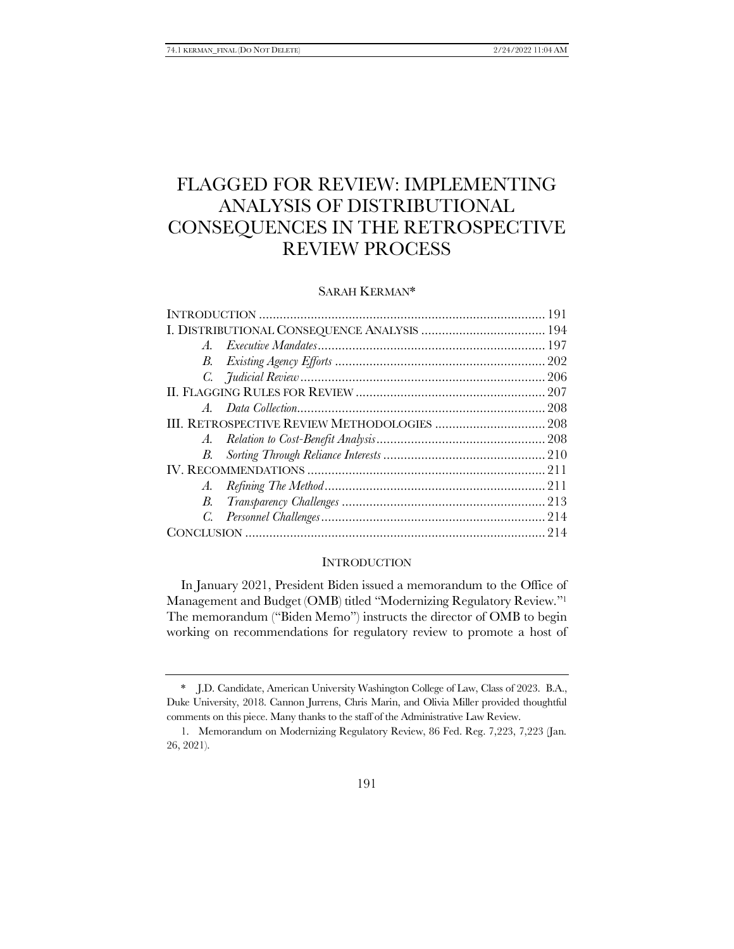# FLAGGED FOR REVIEW: IMPLEMENTING ANALYSIS OF DISTRIBUTIONAL CONSEQUENCES IN THE RETROSPECTIVE REVIEW PROCESS

## SARAH KERMAN\*

| $A_{-}$ |  |  |
|---------|--|--|
|         |  |  |
|         |  |  |
|         |  |  |
|         |  |  |
|         |  |  |
|         |  |  |
|         |  |  |
|         |  |  |
|         |  |  |
| В.      |  |  |
| C.      |  |  |
|         |  |  |
|         |  |  |

#### **INTRODUCTION**

In January 2021, President Biden issued a memorandum to the Office of Management and Budget (OMB) titled "Modernizing Regulatory Review."<sup>1</sup> The memorandum ("Biden Memo") instructs the director of OMB to begin working on recommendations for regulatory review to promote a host of

<sup>\*</sup> J.D. Candidate, American University Washington College of Law, Class of 2023. B.A., Duke University, 2018. Cannon Jurrens, Chris Marin, and Olivia Miller provided thoughtful comments on this piece. Many thanks to the staff of the Administrative Law Review.

<sup>1.</sup> Memorandum on Modernizing Regulatory Review, 86 Fed. Reg. 7,223, 7,223 (Jan. 26, 2021).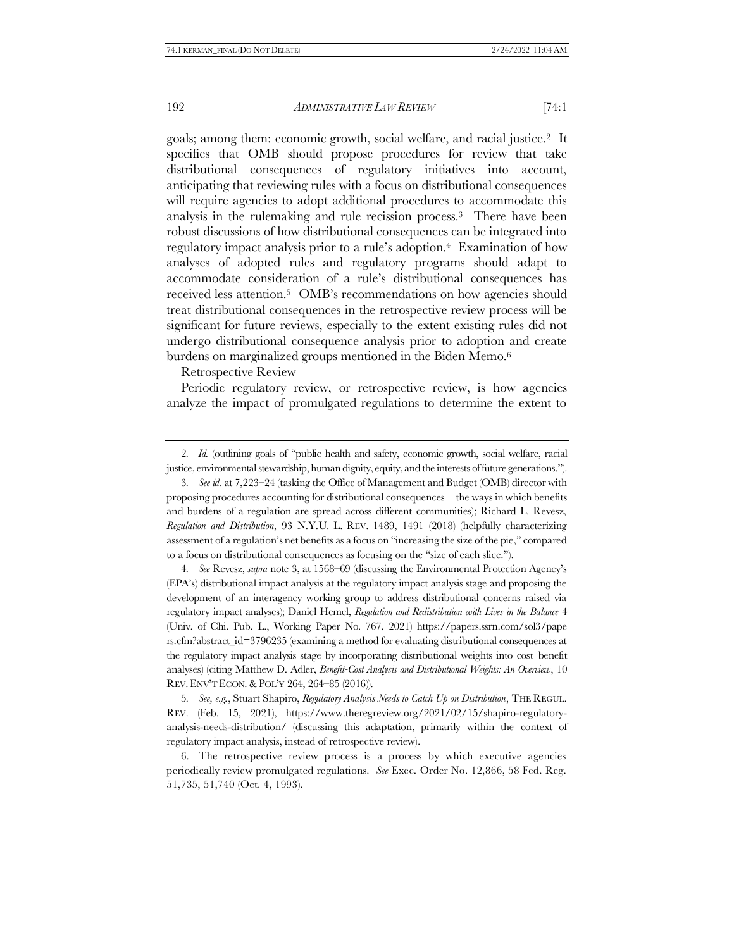<span id="page-1-0"></span>goals; among them: economic growth, social welfare, and racial justice.2 It specifies that OMB should propose procedures for review that take distributional consequences of regulatory initiatives into account, anticipating that reviewing rules with a focus on distributional consequences will require agencies to adopt additional procedures to accommodate this analysis in the rulemaking and rule recission process.3 There have been robust discussions of how distributional consequences can be integrated into regulatory impact analysis prior to a rule's adoption.<sup>4</sup> Examination of how analyses of adopted rules and regulatory programs should adapt to accommodate consideration of a rule's distributional consequences has received less attention.5 OMB's recommendations on how agencies should treat distributional consequences in the retrospective review process will be significant for future reviews, especially to the extent existing rules did not undergo distributional consequence analysis prior to adoption and create burdens on marginalized groups mentioned in the Biden Memo.<sup>6</sup>

<span id="page-1-2"></span><span id="page-1-1"></span>Retrospective Review

Periodic regulatory review, or retrospective review, is how agencies analyze the impact of promulgated regulations to determine the extent to

3*. See id.* at 7,223–24 (tasking the Office of Management and Budget (OMB) director with proposing procedures accounting for distributional consequences—the ways in which benefits and burdens of a regulation are spread across different communities); Richard L. Revesz, *Regulation and Distribution*, 93 N.Y.U. L. REV. 1489, 1491 (2018) (helpfully characterizing assessment of a regulation's net benefits as a focus on "increasing the size of the pie," compared to a focus on distributional consequences as focusing on the "size of each slice.").

4*. See* Revesz, *supra* note [3,](#page-1-0) at 1568–69 (discussing the Environmental Protection Agency's (EPA's) distributional impact analysis at the regulatory impact analysis stage and proposing the development of an interagency working group to address distributional concerns raised via regulatory impact analyses); Daniel Hemel, *Regulation and Redistribution with Lives in the Balance* 4 (Univ. of Chi. Pub. L., Working Paper No. 767, 2021) https://papers.ssrn.com/sol3/pape rs.cfm?abstract\_id=3796235 (examining a method for evaluating distributional consequences at the regulatory impact analysis stage by incorporating distributional weights into cost–benefit analyses) (citing Matthew D. Adler, *Benefit-Cost Analysis and Distributional Weights: An Overview*, 10 REV.ENV'T ECON.&POL'Y 264, 264–85 (2016)).

5*. See, e.g.*, Stuart Shapiro, *Regulatory Analysis Needs to Catch Up on Distribution*, THE REGUL. REV. (Feb. 15, 2021), https://www.theregreview.org/2021/02/15/shapiro-regulatoryanalysis-needs-distribution/ (discussing this adaptation, primarily within the context of regulatory impact analysis, instead of retrospective review).

6. The retrospective review process is a process by which executive agencies periodically review promulgated regulations. *See* Exec. Order No. 12,866, 58 Fed. Reg. 51,735, 51,740 (Oct. 4, 1993).

<sup>2</sup>*. Id.* (outlining goals of "public health and safety, economic growth, social welfare, racial justice, environmental stewardship, human dignity, equity, and the interests of future generations.").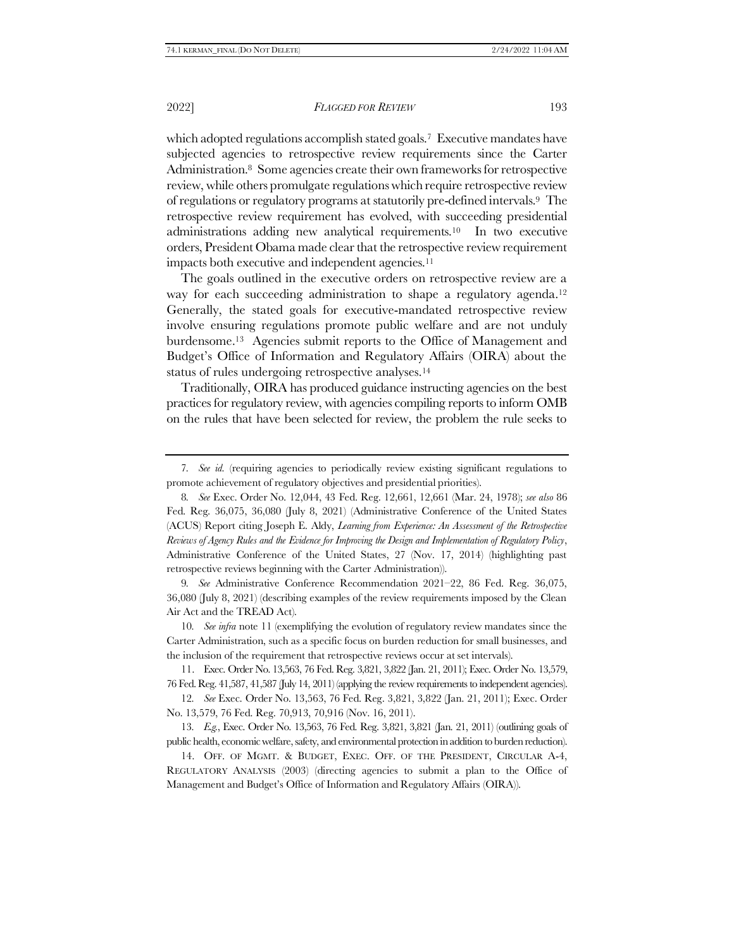<span id="page-2-2"></span>which adopted regulations accomplish stated goals.<sup>7</sup> Executive mandates have subjected agencies to retrospective review requirements since the Carter Administration.8 Some agencies create their own frameworks for retrospective review, while others promulgate regulations which require retrospective review of regulations or regulatory programs at statutorily pre-defined intervals.9 The retrospective review requirement has evolved, with succeeding presidential administrations adding new analytical requirements.10 In two executive orders, President Obama made clear that the retrospective review requirement impacts both executive and independent agencies.<sup>11</sup>

<span id="page-2-0"></span>The goals outlined in the executive orders on retrospective review are a way for each succeeding administration to shape a regulatory agenda.<sup>12</sup> Generally, the stated goals for executive-mandated retrospective review involve ensuring regulations promote public welfare and are not unduly burdensome.13 Agencies submit reports to the Office of Management and Budget's Office of Information and Regulatory Affairs (OIRA) about the status of rules undergoing retrospective analyses.<sup>14</sup>

<span id="page-2-1"></span>Traditionally, OIRA has produced guidance instructing agencies on the best practices for regulatory review, with agencies compiling reports to inform OMB on the rules that have been selected for review, the problem the rule seeks to

9*. See* Administrative Conference Recommendation 2021–22, 86 Fed. Reg. 36,075, 36,080 (July 8, 2021) (describing examples of the review requirements imposed by the Clean Air Act and the TREAD Act).

10*. See infra* not[e 11](#page-2-0) (exemplifying the evolution of regulatory review mandates since the Carter Administration, such as a specific focus on burden reduction for small businesses, and the inclusion of the requirement that retrospective reviews occur at set intervals).

11. Exec. Order No. 13,563, 76 Fed. Reg. 3,821, 3,822 (Jan. 21, 2011); Exec. Order No. 13,579, 76 Fed. Reg. 41,587, 41,587 (July 14, 2011) (applying the review requirements to independent agencies).

12*. See* Exec. Order No. 13,563, 76 Fed. Reg. 3,821, 3,822 (Jan. 21, 2011); Exec. Order No. 13,579, 76 Fed. Reg. 70,913, 70,916 (Nov. 16, 2011).

13*. E.g.*, Exec. Order No. 13,563, 76 Fed. Reg. 3,821, 3,821 (Jan. 21, 2011) (outlining goals of public health, economic welfare,safety, and environmental protection in addition to burden reduction).

14. OFF. OF MGMT. & BUDGET, EXEC. OFF. OF THE PRESIDENT, CIRCULAR A-4, REGULATORY ANALYSIS (2003) (directing agencies to submit a plan to the Office of Management and Budget's Office of Information and Regulatory Affairs (OIRA)).

<sup>7</sup>*. See id.* (requiring agencies to periodically review existing significant regulations to promote achievement of regulatory objectives and presidential priorities).

<sup>8</sup>*. See* Exec. Order No. 12,044, 43 Fed. Reg. 12,661, 12,661 (Mar. 24, 1978); *see also* 86 Fed. Reg. 36,075, 36,080 (July 8, 2021) (Administrative Conference of the United States (ACUS) Report citing Joseph E. Aldy, *Learning from Experience: An Assessment of the Retrospective Reviews of Agency Rules and the Evidence for Improving the Design and Implementation of Regulatory Policy*, Administrative Conference of the United States, 27 (Nov. 17, 2014) (highlighting past retrospective reviews beginning with the Carter Administration)).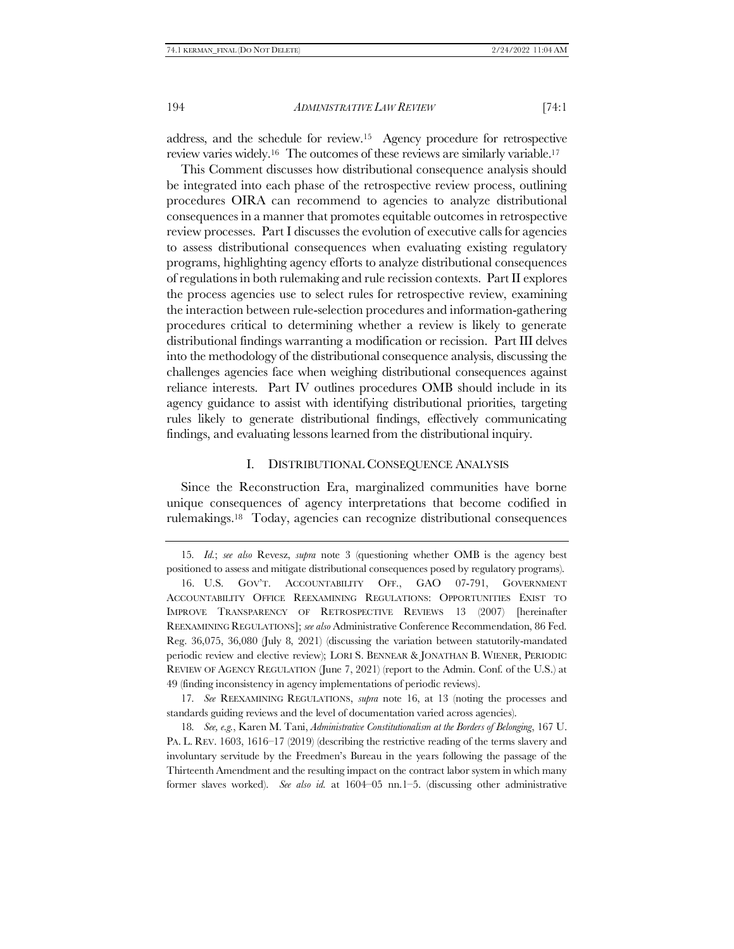<span id="page-3-0"></span>address, and the schedule for review.15 Agency procedure for retrospective review varies widely.16 The outcomes of these reviews are similarly variable.<sup>17</sup>

This Comment discusses how distributional consequence analysis should be integrated into each phase of the retrospective review process, outlining procedures OIRA can recommend to agencies to analyze distributional consequences in a manner that promotes equitable outcomes in retrospective review processes. Part I discusses the evolution of executive calls for agencies to assess distributional consequences when evaluating existing regulatory programs, highlighting agency efforts to analyze distributional consequences of regulations in both rulemaking and rule recission contexts. Part II explores the process agencies use to select rules for retrospective review, examining the interaction between rule-selection procedures and information-gathering procedures critical to determining whether a review is likely to generate distributional findings warranting a modification or recission. Part III delves into the methodology of the distributional consequence analysis, discussing the challenges agencies face when weighing distributional consequences against reliance interests. Part IV outlines procedures OMB should include in its agency guidance to assist with identifying distributional priorities, targeting rules likely to generate distributional findings, effectively communicating findings, and evaluating lessons learned from the distributional inquiry.

#### <span id="page-3-1"></span>I. DISTRIBUTIONAL CONSEQUENCE ANALYSIS

Since the Reconstruction Era, marginalized communities have borne unique consequences of agency interpretations that become codified in rulemakings.18 Today, agencies can recognize distributional consequences

<sup>15</sup>*. Id.*; *see also* Revesz, *supra* note [3](#page-1-0) (questioning whether OMB is the agency best positioned to assess and mitigate distributional consequences posed by regulatory programs).

<sup>16.</sup> U.S. GOV'T. ACCOUNTABILITY OFF., GAO 07-791, GOVERNMENT ACCOUNTABILITY OFFICE REEXAMINING REGULATIONS: OPPORTUNITIES EXIST TO IMPROVE TRANSPARENCY OF RETROSPECTIVE REVIEWS 13 (2007) [hereinafter REEXAMINING REGULATIONS]; *see also* Administrative Conference Recommendation, 86 Fed. Reg. 36,075, 36,080 (July 8, 2021) (discussing the variation between statutorily-mandated periodic review and elective review); LORI S. BENNEAR & JONATHAN B. WIENER, PERIODIC REVIEW OF AGENCY REGULATION (June 7, 2021) (report to the Admin. Conf. of the U.S.) at 49 (finding inconsistency in agency implementations of periodic reviews).

<sup>17</sup>*. See* REEXAMINING REGULATIONS, *supra* note [16,](#page-3-0) at 13 (noting the processes and standards guiding reviews and the level of documentation varied across agencies).

<sup>18</sup>*. See, e.g.*, Karen M. Tani, *Administrative Constitutionalism at the Borders of Belonging*, 167 U. PA. L. REV. 1603, 1616–17 (2019) (describing the restrictive reading of the terms slavery and involuntary servitude by the Freedmen's Bureau in the years following the passage of the Thirteenth Amendment and the resulting impact on the contract labor system in which many former slaves worked). *See also id.* at 1604–05 nn.1–5. (discussing other administrative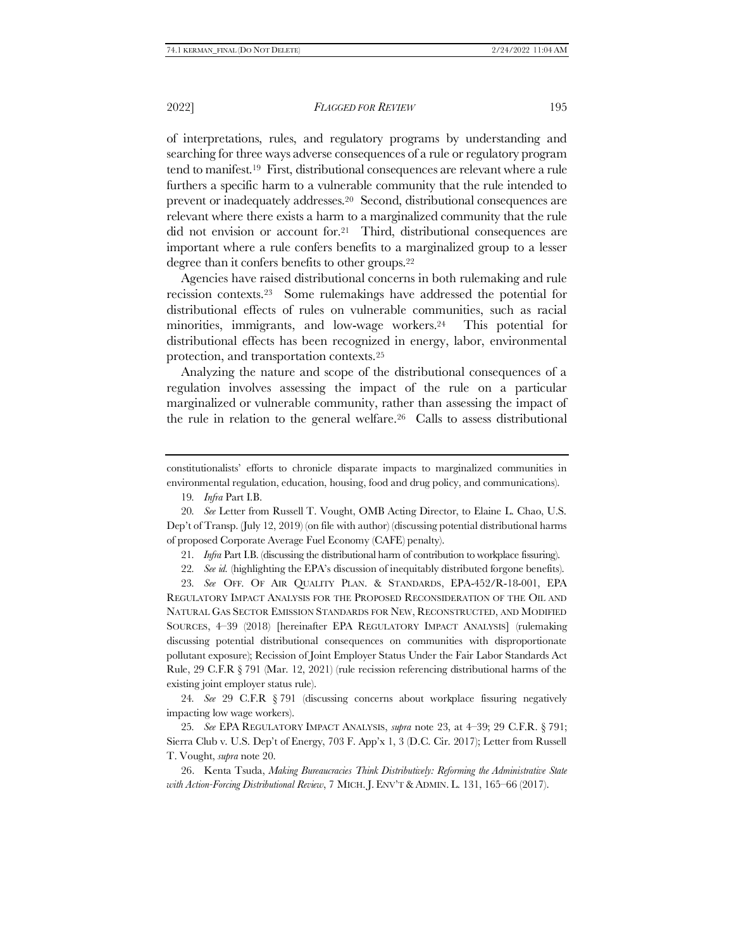<span id="page-4-1"></span>of interpretations, rules, and regulatory programs by understanding and searching for three ways adverse consequences of a rule or regulatory program tend to manifest.19 First, distributional consequences are relevant where a rule furthers a specific harm to a vulnerable community that the rule intended to prevent or inadequately addresses.20 Second, distributional consequences are relevant where there exists a harm to a marginalized community that the rule did not envision or account for.21 Third, distributional consequences are important where a rule confers benefits to a marginalized group to a lesser degree than it confers benefits to other groups.<sup>22</sup>

<span id="page-4-0"></span>Agencies have raised distributional concerns in both rulemaking and rule recission contexts.23 Some rulemakings have addressed the potential for distributional effects of rules on vulnerable communities, such as racial minorities, immigrants, and low-wage workers.24 This potential for distributional effects has been recognized in energy, labor, environmental protection, and transportation contexts.<sup>25</sup>

Analyzing the nature and scope of the distributional consequences of a regulation involves assessing the impact of the rule on a particular marginalized or vulnerable community, rather than assessing the impact of the rule in relation to the general welfare.<sup>26</sup> Calls to assess distributional

constitutionalists' efforts to chronicle disparate impacts to marginalized communities in environmental regulation, education, housing, food and drug policy, and communications).

<span id="page-4-2"></span>19*. Infra* Part I[.B.](#page-11-0)

20*. See* Letter from Russell T. Vought, OMB Acting Director, to Elaine L. Chao, U.S. Dep't of Transp. (July 12, 2019) (on file with author) (discussing potential distributional harms of proposed Corporate Average Fuel Economy (CAFE) penalty).

21*. Infra* Part [I.B.](#page-11-0) (discussing the distributional harm of contribution to workplace fissuring).

22*. See id.* (highlighting the EPA's discussion of inequitably distributed forgone benefits).

23*. See* OFF. OF AIR QUALITY PLAN. & STANDARDS, EPA-452/R-18-001, EPA REGULATORY IMPACT ANALYSIS FOR THE PROPOSED RECONSIDERATION OF THE OIL AND NATURAL GAS SECTOR EMISSION STANDARDS FOR NEW, RECONSTRUCTED, AND MODIFIED SOURCES, 4–39 (2018) [hereinafter EPA REGULATORY IMPACT ANALYSIS] (rulemaking discussing potential distributional consequences on communities with disproportionate pollutant exposure); Recission of Joint Employer Status Under the Fair Labor Standards Act Rule, 29 C.F.R § 791 (Mar. 12, 2021) (rule recission referencing distributional harms of the existing joint employer status rule).

24*. See* 29 C.F.R § 791 (discussing concerns about workplace fissuring negatively impacting low wage workers).

25*. See* EPA REGULATORY IMPACT ANALYSIS, *supra* note [23,](#page-4-0) at 4–39; 29 C.F.R. § 791; Sierra Club v. U.S. Dep't of Energy, 703 F. App'x 1, 3 (D.C. Cir. 2017); Letter from Russell T. Vought, *supra* note [20.](#page-4-1)

26. Kenta Tsuda, *Making Bureaucracies Think Distributively: Reforming the Administrative State with Action-Forcing Distributional Review*, 7 MICH. J. ENV'T &ADMIN. L. 131, 165–66 (2017).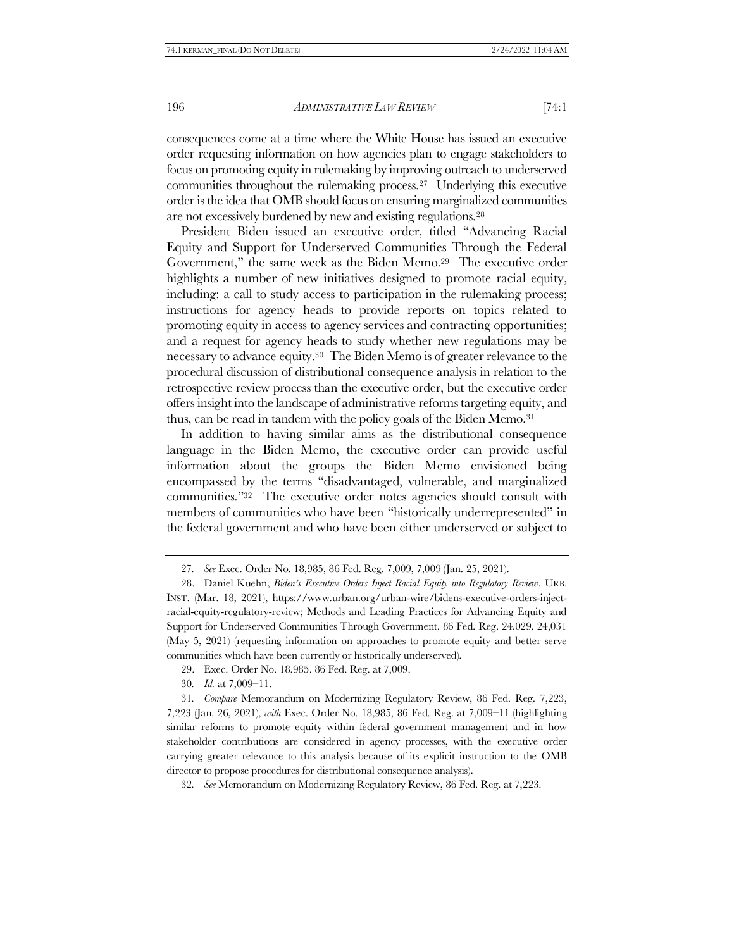consequences come at a time where the White House has issued an executive order requesting information on how agencies plan to engage stakeholders to focus on promoting equity in rulemaking by improving outreach to underserved communities throughout the rulemaking process.27 Underlying this executive order is the idea that OMB should focus on ensuring marginalized communities are not excessively burdened by new and existing regulations.<sup>28</sup>

President Biden issued an executive order, titled "Advancing Racial Equity and Support for Underserved Communities Through the Federal Government," the same week as the Biden Memo.29 The executive order highlights a number of new initiatives designed to promote racial equity, including: a call to study access to participation in the rulemaking process; instructions for agency heads to provide reports on topics related to promoting equity in access to agency services and contracting opportunities; and a request for agency heads to study whether new regulations may be necessary to advance equity.30 The Biden Memo is of greater relevance to the procedural discussion of distributional consequence analysis in relation to the retrospective review process than the executive order, but the executive order offers insight into the landscape of administrative reforms targeting equity, and thus, can be read in tandem with the policy goals of the Biden Memo.<sup>31</sup>

In addition to having similar aims as the distributional consequence language in the Biden Memo, the executive order can provide useful information about the groups the Biden Memo envisioned being encompassed by the terms "disadvantaged, vulnerable, and marginalized communities."32 The executive order notes agencies should consult with members of communities who have been "historically underrepresented" in the federal government and who have been either underserved or subject to

- 29. Exec. Order No. 18,985, 86 Fed. Reg. at 7,009.
- 30*. Id.* at 7,009–11.

31*. Compare* Memorandum on Modernizing Regulatory Review, 86 Fed. Reg. 7,223, 7,223 (Jan. 26, 2021), *with* Exec. Order No. 18,985, 86 Fed. Reg. at 7,009–11 (highlighting similar reforms to promote equity within federal government management and in how stakeholder contributions are considered in agency processes, with the executive order carrying greater relevance to this analysis because of its explicit instruction to the OMB director to propose procedures for distributional consequence analysis).

32*. See* Memorandum on Modernizing Regulatory Review, 86 Fed. Reg. at 7,223.

<sup>27</sup>*. See* Exec. Order No. 18,985, 86 Fed. Reg. 7,009, 7,009 (Jan. 25, 2021).

<sup>28.</sup> Daniel Kuehn, *Biden's Executive Orders Inject Racial Equity into Regulatory Review*, URB. INST. (Mar. 18, 2021), https://www.urban.org/urban-wire/bidens-executive-orders-injectracial-equity-regulatory-review; Methods and Leading Practices for Advancing Equity and Support for Underserved Communities Through Government, 86 Fed. Reg. 24,029, 24,031 (May 5, 2021) (requesting information on approaches to promote equity and better serve communities which have been currently or historically underserved).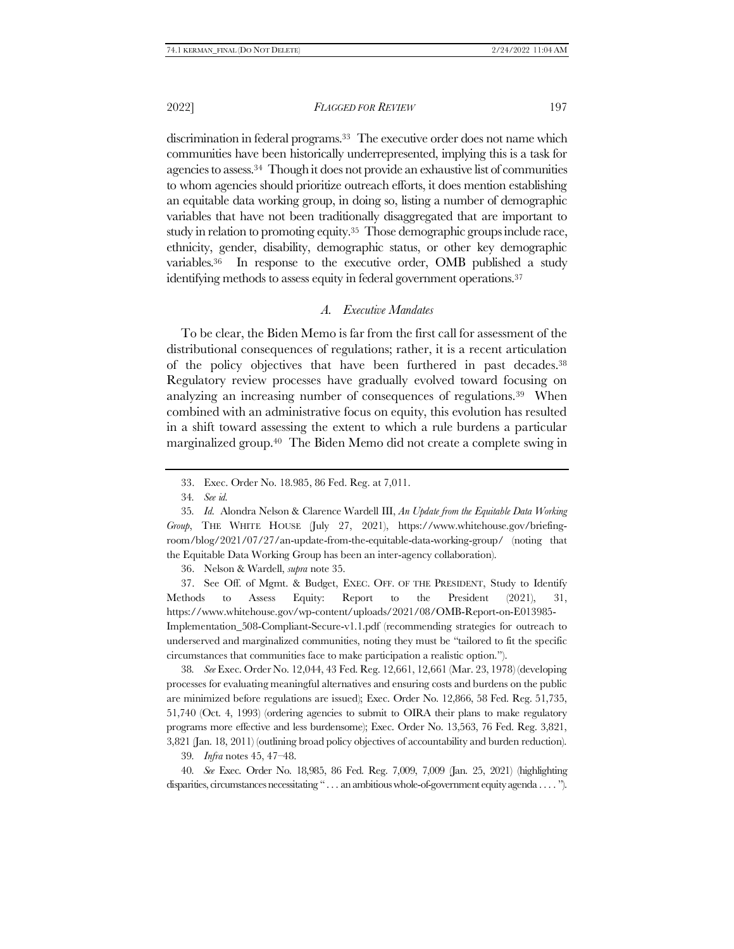2022] *FLAGGED FOR REVIEW* 197

discrimination in federal programs.<sup>33</sup> The executive order does not name which communities have been historically underrepresented, implying this is a task for agencies to assess.34 Though it does not provide an exhaustive list of communities to whom agencies should prioritize outreach efforts, it does mention establishing an equitable data working group, in doing so, listing a number of demographic variables that have not been traditionally disaggregated that are important to study in relation to promoting equity.<sup>35</sup> Those demographic groups include race, ethnicity, gender, disability, demographic status, or other key demographic variables.<sup>36</sup> In response to the executive order, OMB published a study identifying methods to assess equity in federal government operations.<sup>37</sup>

## <span id="page-6-0"></span>*A. Executive Mandates*

<span id="page-6-1"></span>To be clear, the Biden Memo is far from the first call for assessment of the distributional consequences of regulations; rather, it is a recent articulation of the policy objectives that have been furthered in past decades.<sup>38</sup> Regulatory review processes have gradually evolved toward focusing on analyzing an increasing number of consequences of regulations.39 When combined with an administrative focus on equity, this evolution has resulted in a shift toward assessing the extent to which a rule burdens a particular marginalized group.40 The Biden Memo did not create a complete swing in

36. Nelson & Wardell, *supra* not[e 35.](#page-6-0)

37. See Off. of Mgmt. & Budget, EXEC. OFF. OF THE PRESIDENT, Study to Identify Methods to Assess Equity: Report to the President (2021), 31, https://www.whitehouse.gov/wp-content/uploads/2021/08/OMB-Report-on-E013985- Implementation\_508-Compliant-Secure-v1.1.pdf (recommending strategies for outreach to underserved and marginalized communities, noting they must be "tailored to fit the specific circumstances that communities face to make participation a realistic option.").

38*. See* Exec. Order No. 12,044, 43 Fed. Reg. 12,661, 12,661 (Mar. 23, 1978) (developing processes for evaluating meaningful alternatives and ensuring costs and burdens on the public are minimized before regulations are issued); Exec. Order No. 12,866, 58 Fed. Reg. 51,735, 51,740 (Oct. 4, 1993) (ordering agencies to submit to OIRA their plans to make regulatory programs more effective and less burdensome); Exec. Order No. 13,563, 76 Fed. Reg. 3,821, 3,821 (Jan. 18, 2011) (outlining broad policy objectives of accountability and burden reduction).

39*. Infra* note[s 45,](#page-7-0) [47](#page-7-1)–[48.](#page-8-0)

40*. See* Exec. Order No. 18,985, 86 Fed. Reg. 7,009, 7,009 (Jan. 25, 2021) (highlighting disparities, circumstances necessitating " . . . an ambitious whole-of-government equity agenda . . . . ").

<sup>33.</sup> Exec. Order No. 18.985, 86 Fed. Reg. at 7,011.

<sup>34</sup>*. See id.*

<sup>35</sup>*. Id.* Alondra Nelson & Clarence Wardell III, *An Update from the Equitable Data Working Group*, THE WHITE HOUSE (July 27, 2021), https://www.whitehouse.gov/briefingroom/blog/2021/07/27/an-update-from-the-equitable-data-working-group/ (noting that the Equitable Data Working Group has been an inter-agency collaboration).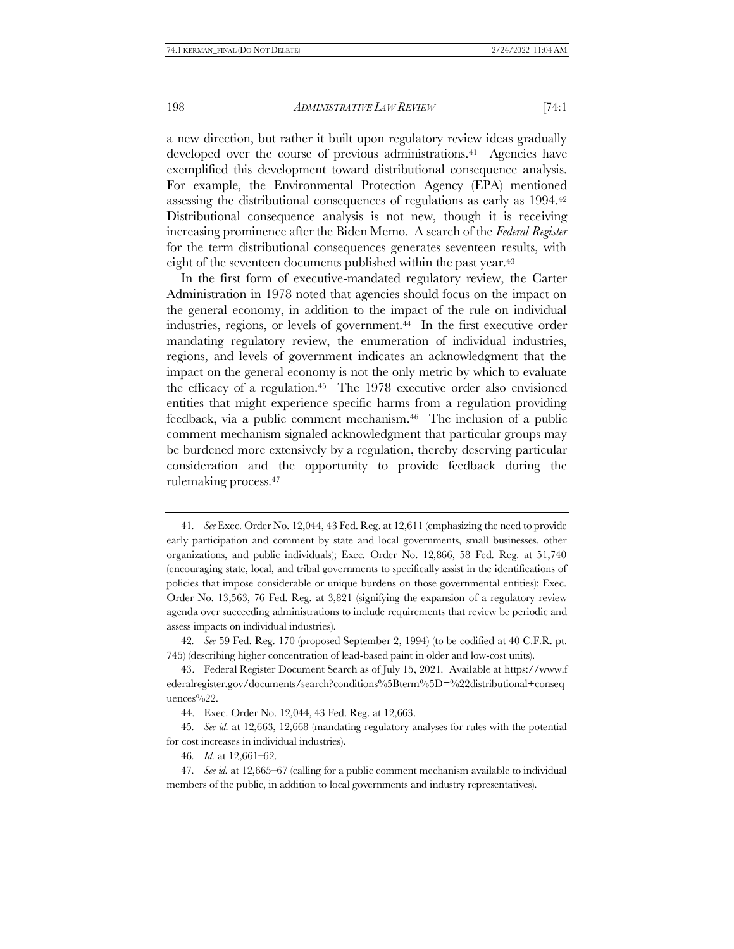<span id="page-7-2"></span>a new direction, but rather it built upon regulatory review ideas gradually developed over the course of previous administrations.<sup>41</sup> Agencies have exemplified this development toward distributional consequence analysis. For example, the Environmental Protection Agency (EPA) mentioned assessing the distributional consequences of regulations as early as 1994.<sup>42</sup> Distributional consequence analysis is not new, though it is receiving increasing prominence after the Biden Memo. A search of the *Federal Register*  for the term distributional consequences generates seventeen results, with eight of the seventeen documents published within the past year.<sup>43</sup>

<span id="page-7-0"></span>In the first form of executive-mandated regulatory review, the Carter Administration in 1978 noted that agencies should focus on the impact on the general economy, in addition to the impact of the rule on individual industries, regions, or levels of government.<sup>44</sup> In the first executive order mandating regulatory review, the enumeration of individual industries, regions, and levels of government indicates an acknowledgment that the impact on the general economy is not the only metric by which to evaluate the efficacy of a regulation.<sup>45</sup> The 1978 executive order also envisioned entities that might experience specific harms from a regulation providing feedback, via a public comment mechanism.46 The inclusion of a public comment mechanism signaled acknowledgment that particular groups may be burdened more extensively by a regulation, thereby deserving particular consideration and the opportunity to provide feedback during the rulemaking process.<sup>47</sup>

46*. Id.* at 12,661–62.

<span id="page-7-1"></span><sup>41</sup>*. See* Exec. Order No. 12,044, 43 Fed. Reg. at 12,611 (emphasizing the need to provide early participation and comment by state and local governments, small businesses, other organizations, and public individuals); Exec. Order No. 12,866, 58 Fed. Reg. at 51,740 (encouraging state, local, and tribal governments to specifically assist in the identifications of policies that impose considerable or unique burdens on those governmental entities); Exec. Order No. 13,563, 76 Fed. Reg. at 3,821 (signifying the expansion of a regulatory review agenda over succeeding administrations to include requirements that review be periodic and assess impacts on individual industries).

<sup>42</sup>*. See* 59 Fed. Reg. 170 (proposed September 2, 1994) (to be codified at 40 C.F.R. pt. 745) (describing higher concentration of lead-based paint in older and low-cost units).

<sup>43.</sup> Federal Register Document Search as of July 15, 2021. Available at https://www.f ederalregister.gov/documents/search?conditions%5Bterm%5D=%22distributional+conseq uences%22.

<sup>44.</sup> Exec. Order No. 12,044, 43 Fed. Reg. at 12,663.

<sup>45</sup>*. See id.* at 12,663, 12,668 (mandating regulatory analyses for rules with the potential for cost increases in individual industries).

<sup>47</sup>*. See id.* at 12,665–67 (calling for a public comment mechanism available to individual members of the public, in addition to local governments and industry representatives).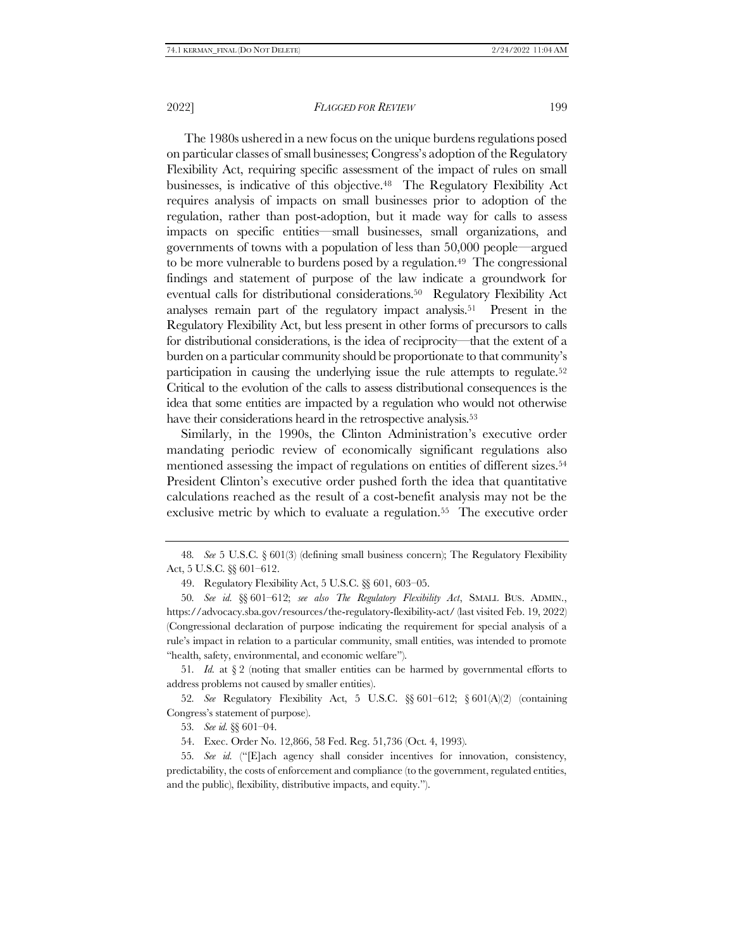<span id="page-8-0"></span>The 1980s ushered in a new focus on the unique burdens regulations posed on particular classes of small businesses; Congress's adoption of the Regulatory Flexibility Act, requiring specific assessment of the impact of rules on small businesses, is indicative of this objective.48 The Regulatory Flexibility Act requires analysis of impacts on small businesses prior to adoption of the regulation, rather than post-adoption, but it made way for calls to assess impacts on specific entities—small businesses, small organizations, and governments of towns with a population of less than 50,000 people—argued to be more vulnerable to burdens posed by a regulation.<sup>49</sup> The congressional findings and statement of purpose of the law indicate a groundwork for eventual calls for distributional considerations.50 Regulatory Flexibility Act analyses remain part of the regulatory impact analysis.51 Present in the Regulatory Flexibility Act, but less present in other forms of precursors to calls for distributional considerations, is the idea of reciprocity—that the extent of a burden on a particular community should be proportionate to that community's participation in causing the underlying issue the rule attempts to regulate.<sup>52</sup> Critical to the evolution of the calls to assess distributional consequences is the idea that some entities are impacted by a regulation who would not otherwise have their considerations heard in the retrospective analysis.<sup>53</sup>

Similarly, in the 1990s, the Clinton Administration's executive order mandating periodic review of economically significant regulations also mentioned assessing the impact of regulations on entities of different sizes.<sup>54</sup> President Clinton's executive order pushed forth the idea that quantitative calculations reached as the result of a cost-benefit analysis may not be the exclusive metric by which to evaluate a regulation.<sup>55</sup> The executive order

51. *Id.* at  $\S$  2 (noting that smaller entities can be harmed by governmental efforts to address problems not caused by smaller entities).

52*. See* Regulatory Flexibility Act, 5 U.S.C. §§ 601–612; § 601(A)(2) (containing Congress's statement of purpose).

53*. See id.* §§ 601–04.

54. Exec. Order No. 12,866, 58 Fed. Reg. 51,736 (Oct. 4, 1993).

55*. See id.* ("[E]ach agency shall consider incentives for innovation, consistency, predictability, the costs of enforcement and compliance (to the government, regulated entities, and the public), flexibility, distributive impacts, and equity.").

<sup>48</sup>*. See* 5 U.S.C. § 601(3) (defining small business concern); The Regulatory Flexibility Act, 5 U.S.C. §§ 601–612.

<sup>49.</sup> Regulatory Flexibility Act, 5 U.S.C. §§ 601, 603–05.

<sup>50</sup>*. See id.* §§ 601–612; *see also The Regulatory Flexibility Act*, SMALL BUS. ADMIN., https://advocacy.sba.gov/resources/the-regulatory-flexibility-act/ (last visited Feb. 19, 2022) (Congressional declaration of purpose indicating the requirement for special analysis of a rule's impact in relation to a particular community, small entities, was intended to promote "health, safety, environmental, and economic welfare").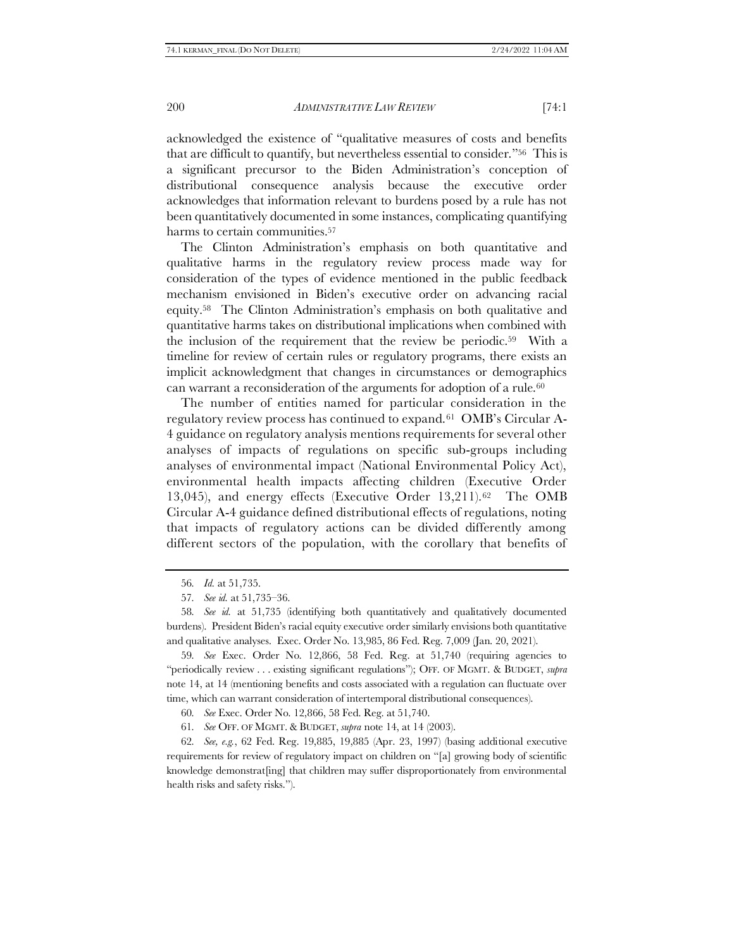acknowledged the existence of "qualitative measures of costs and benefits that are difficult to quantify, but nevertheless essential to consider."56 This is a significant precursor to the Biden Administration's conception of distributional consequence analysis because the executive order acknowledges that information relevant to burdens posed by a rule has not been quantitatively documented in some instances, complicating quantifying harms to certain communities.<sup>57</sup>

The Clinton Administration's emphasis on both quantitative and qualitative harms in the regulatory review process made way for consideration of the types of evidence mentioned in the public feedback mechanism envisioned in Biden's executive order on advancing racial equity.58 The Clinton Administration's emphasis on both qualitative and quantitative harms takes on distributional implications when combined with the inclusion of the requirement that the review be periodic.59 With a timeline for review of certain rules or regulatory programs, there exists an implicit acknowledgment that changes in circumstances or demographics can warrant a reconsideration of the arguments for adoption of a rule.<sup>60</sup>

The number of entities named for particular consideration in the regulatory review process has continued to expand.<sup>61</sup> OMB's Circular A-4 guidance on regulatory analysis mentions requirements for several other analyses of impacts of regulations on specific sub-groups including analyses of environmental impact (National Environmental Policy Act), environmental health impacts affecting children (Executive Order 13,045), and energy effects (Executive Order 13,211).62 The OMB Circular A-4 guidance defined distributional effects of regulations, noting that impacts of regulatory actions can be divided differently among different sectors of the population, with the corollary that benefits of

60*. See* Exec. Order No. 12,866, 58 Fed. Reg. at 51,740.

61*. See* OFF. OF MGMT. & BUDGET, *supra* note [14,](#page-2-1) at 14 (2003).

62*. See, e.g.*, 62 Fed. Reg. 19,885, 19,885 (Apr. 23, 1997) (basing additional executive requirements for review of regulatory impact on children on "[a] growing body of scientific knowledge demonstrat[ing] that children may suffer disproportionately from environmental health risks and safety risks.").

<sup>56</sup>*. Id.* at 51,735.

<sup>57</sup>*. See id.* at 51,735–36.

<sup>58</sup>*. See id.* at 51,735 (identifying both quantitatively and qualitatively documented burdens). President Biden's racial equity executive order similarly envisions both quantitative and qualitative analyses. Exec. Order No. 13,985, 86 Fed. Reg. 7,009 (Jan. 20, 2021).

<sup>59</sup>*. See* Exec. Order No. 12,866, 58 Fed. Reg. at 51,740 (requiring agencies to "periodically review . . . existing significant regulations"); OFF. OF MGMT. & BUDGET, *supra*  not[e 14,](#page-2-1) at 14 (mentioning benefits and costs associated with a regulation can fluctuate over time, which can warrant consideration of intertemporal distributional consequences).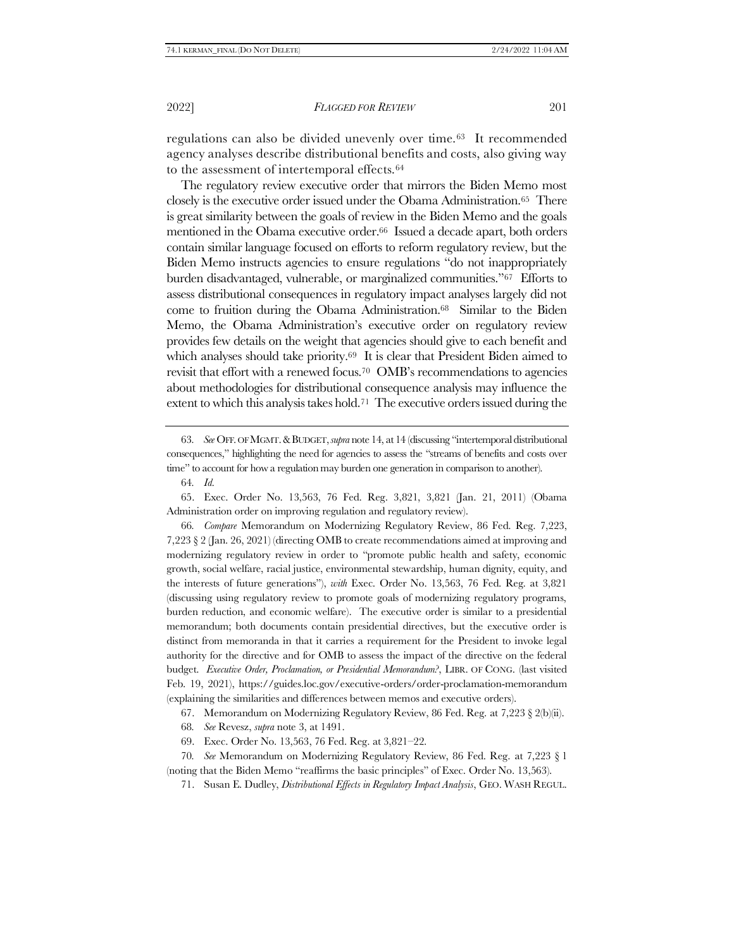regulations can also be divided unevenly over time.63 It recommended agency analyses describe distributional benefits and costs, also giving way to the assessment of intertemporal effects.<sup>64</sup>

The regulatory review executive order that mirrors the Biden Memo most closely is the executive order issued under the Obama Administration.65 There is great similarity between the goals of review in the Biden Memo and the goals mentioned in the Obama executive order.<sup>66</sup> Issued a decade apart, both orders contain similar language focused on efforts to reform regulatory review, but the Biden Memo instructs agencies to ensure regulations "do not inappropriately burden disadvantaged, vulnerable, or marginalized communities."67 Efforts to assess distributional consequences in regulatory impact analyses largely did not come to fruition during the Obama Administration.68 Similar to the Biden Memo, the Obama Administration's executive order on regulatory review provides few details on the weight that agencies should give to each benefit and which analyses should take priority.<sup>69</sup> It is clear that President Biden aimed to revisit that effort with a renewed focus.<sup>70</sup> OMB's recommendations to agencies about methodologies for distributional consequence analysis may influence the extent to which this analysis takes hold.71 The executive orders issued during the

63*. See* OFF. OF MGMT.&BUDGET,*supra* not[e 14](#page-2-1), at 14 (discussing "intertemporal distributional consequences," highlighting the need for agencies to assess the "streams of benefits and costs over time" to account for how a regulation may burden one generation in comparison to another).

64*. Id.*

65. Exec. Order No. 13,563, 76 Fed. Reg. 3,821, 3,821 (Jan. 21, 2011) (Obama Administration order on improving regulation and regulatory review).

66*. Compare* Memorandum on Modernizing Regulatory Review, 86 Fed. Reg. 7,223, 7,223 § 2 (Jan. 26, 2021) (directing OMB to create recommendations aimed at improving and modernizing regulatory review in order to "promote public health and safety, economic growth, social welfare, racial justice, environmental stewardship, human dignity, equity, and the interests of future generations"), *with* Exec. Order No. 13,563, 76 Fed. Reg. at 3,821 (discussing using regulatory review to promote goals of modernizing regulatory programs, burden reduction, and economic welfare). The executive order is similar to a presidential memorandum; both documents contain presidential directives, but the executive order is distinct from memoranda in that it carries a requirement for the President to invoke legal authority for the directive and for OMB to assess the impact of the directive on the federal budget. *Executive Order, Proclamation, or Presidential Memorandum?*, LIBR. OF CONG. (last visited Feb. 19, 2021), https://guides.loc.gov/executive-orders/order-proclamation-memorandum (explaining the similarities and differences between memos and executive orders).

67. Memorandum on Modernizing Regulatory Review, 86 Fed. Reg. at 7,223 § 2(b)(ii).

- 68*. See* Revesz, *supra* note [3,](#page-1-0) at 1491.
- 69. Exec. Order No. 13,563, 76 Fed. Reg. at 3,821–22.

70*. See* Memorandum on Modernizing Regulatory Review, 86 Fed. Reg. at 7,223 § 1 (noting that the Biden Memo "reaffirms the basic principles" of Exec. Order No. 13,563).

71. Susan E. Dudley, *Distributional Effects in Regulatory Impact Analysis*, GEO. WASH REGUL.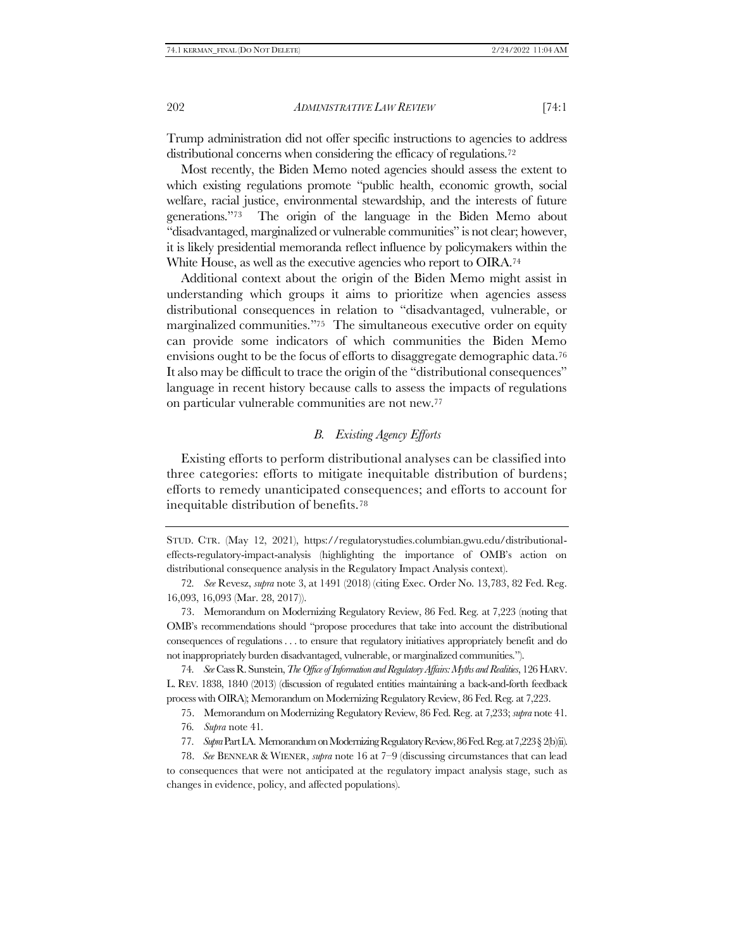Trump administration did not offer specific instructions to agencies to address distributional concerns when considering the efficacy of regulations.<sup>72</sup>

Most recently, the Biden Memo noted agencies should assess the extent to which existing regulations promote "public health, economic growth, social welfare, racial justice, environmental stewardship, and the interests of future generations."73 The origin of the language in the Biden Memo about "disadvantaged, marginalized or vulnerable communities" is not clear; however, it is likely presidential memoranda reflect influence by policymakers within the White House, as well as the executive agencies who report to OIRA.<sup>74</sup>

Additional context about the origin of the Biden Memo might assist in understanding which groups it aims to prioritize when agencies assess distributional consequences in relation to "disadvantaged, vulnerable, or marginalized communities."<sup>75</sup> The simultaneous executive order on equity can provide some indicators of which communities the Biden Memo envisions ought to be the focus of efforts to disaggregate demographic data.<sup>76</sup> It also may be difficult to trace the origin of the "distributional consequences" language in recent history because calls to assess the impacts of regulations on particular vulnerable communities are not new.<sup>77</sup>

# <span id="page-11-1"></span>*B. Existing Agency Efforts*

<span id="page-11-0"></span>Existing efforts to perform distributional analyses can be classified into three categories: efforts to mitigate inequitable distribution of burdens; efforts to remedy unanticipated consequences; and efforts to account for inequitable distribution of benefits.<sup>78</sup>

STUD. CTR. (May 12, 2021), https://regulatorystudies.columbian.gwu.edu/distributionaleffects-regulatory-impact-analysis (highlighting the importance of OMB's action on distributional consequence analysis in the Regulatory Impact Analysis context).

<sup>72</sup>*. See* Revesz, *supra* note [3,](#page-1-0) at 1491 (2018) (citing Exec. Order No. 13,783, 82 Fed. Reg. 16,093, 16,093 (Mar. 28, 2017)).

<sup>73.</sup> Memorandum on Modernizing Regulatory Review, 86 Fed. Reg. at 7,223 (noting that OMB's recommendations should "propose procedures that take into account the distributional consequences of regulations . . . to ensure that regulatory initiatives appropriately benefit and do not inappropriately burden disadvantaged, vulnerable, or marginalized communities.").

<sup>74</sup>*. See* Cass R. Sunstein, *The Office of Information and Regulatory Affairs: Myths and Realities*, 126 HARV. L. REV. 1838, 1840 (2013) (discussion of regulated entities maintaining a back-and-forth feedback process with OIRA); Memorandum on Modernizing Regulatory Review, 86 Fed. Reg. at 7,223.

<sup>75.</sup> Memorandum on Modernizing Regulatory Review, 86 Fed. Reg. at 7,233; *supra* not[e 41.](#page-7-2)

<sup>76</sup>*. Supra* not[e 41](#page-7-2)*.*

<sup>77</sup>*. Supra*Part [I.A.](#page-6-1) Memorandum on Modernizing Regulatory Review, 86 Fed. Reg. at 7,223 § 2(b)(ii).

<sup>78.</sup> *See* BENNEAR & WIENER, *supra* not[e 16](#page-3-0) at 7–9 (discussing circumstances that can lead to consequences that were not anticipated at the regulatory impact analysis stage, such as changes in evidence, policy, and affected populations).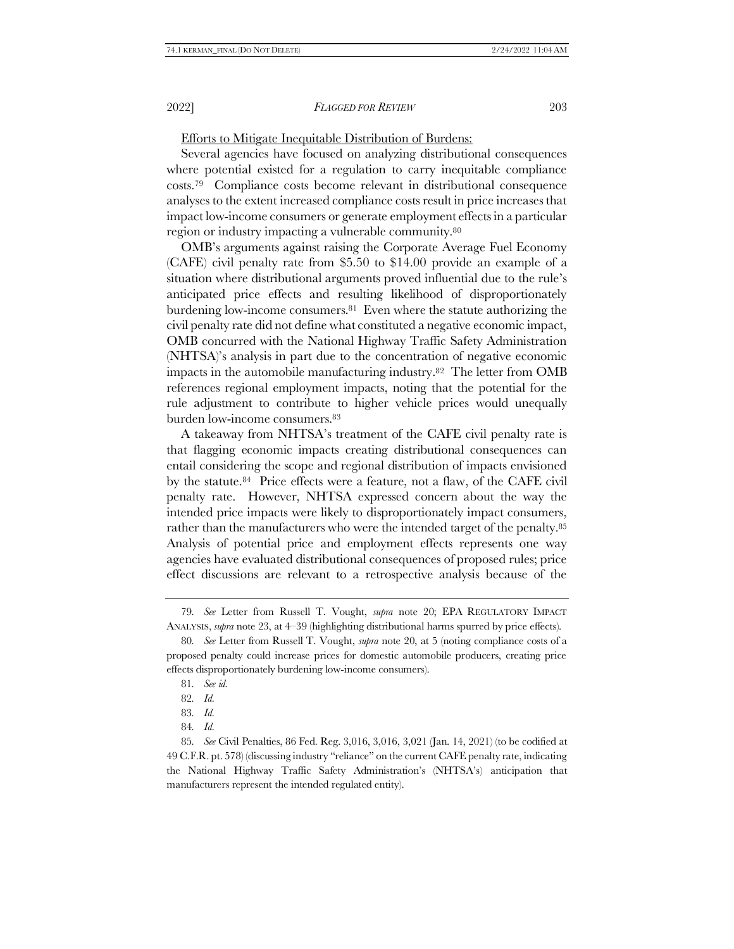Efforts to Mitigate Inequitable Distribution of Burdens:

Several agencies have focused on analyzing distributional consequences where potential existed for a regulation to carry inequitable compliance costs.79 Compliance costs become relevant in distributional consequence analyses to the extent increased compliance costs result in price increases that impact low-income consumers or generate employment effects in a particular region or industry impacting a vulnerable community.<sup>80</sup>

OMB's arguments against raising the Corporate Average Fuel Economy (CAFE) civil penalty rate from \$5.50 to \$14.00 provide an example of a situation where distributional arguments proved influential due to the rule's anticipated price effects and resulting likelihood of disproportionately burdening low-income consumers.81 Even where the statute authorizing the civil penalty rate did not define what constituted a negative economic impact, OMB concurred with the National Highway Traffic Safety Administration (NHTSA)'s analysis in part due to the concentration of negative economic impacts in the automobile manufacturing industry.82 The letter from OMB references regional employment impacts, noting that the potential for the rule adjustment to contribute to higher vehicle prices would unequally burden low-income consumers.<sup>83</sup>

A takeaway from NHTSA's treatment of the CAFE civil penalty rate is that flagging economic impacts creating distributional consequences can entail considering the scope and regional distribution of impacts envisioned by the statute.84 Price effects were a feature, not a flaw, of the CAFE civil penalty rate. However, NHTSA expressed concern about the way the intended price impacts were likely to disproportionately impact consumers, rather than the manufacturers who were the intended target of the penalty.<sup>85</sup> Analysis of potential price and employment effects represents one way agencies have evaluated distributional consequences of proposed rules; price effect discussions are relevant to a retrospective analysis because of the

<sup>79</sup>*. See* Letter from Russell T. Vought, *supra* note [20;](#page-4-1) EPA REGULATORY IMPACT ANALYSIS, *supra* not[e 23,](#page-4-0) at 4–39 (highlighting distributional harms spurred by price effects).

<sup>80</sup>*. See* Letter from Russell T. Vought, *supra* note [20,](#page-4-1) at 5 (noting compliance costs of a proposed penalty could increase prices for domestic automobile producers, creating price effects disproportionately burdening low-income consumers).

<sup>81</sup>*. See id.* 

<sup>82</sup>*. Id.*

<sup>83</sup>*. Id.*

<sup>84</sup>*. Id.*

<sup>85</sup>*. See* Civil Penalties, 86 Fed. Reg. 3,016, 3,016, 3,021 (Jan. 14, 2021) (to be codified at 49 C.F.R. pt. 578) (discussing industry "reliance" on the current CAFE penalty rate, indicating the National Highway Traffic Safety Administration's (NHTSA's) anticipation that manufacturers represent the intended regulated entity).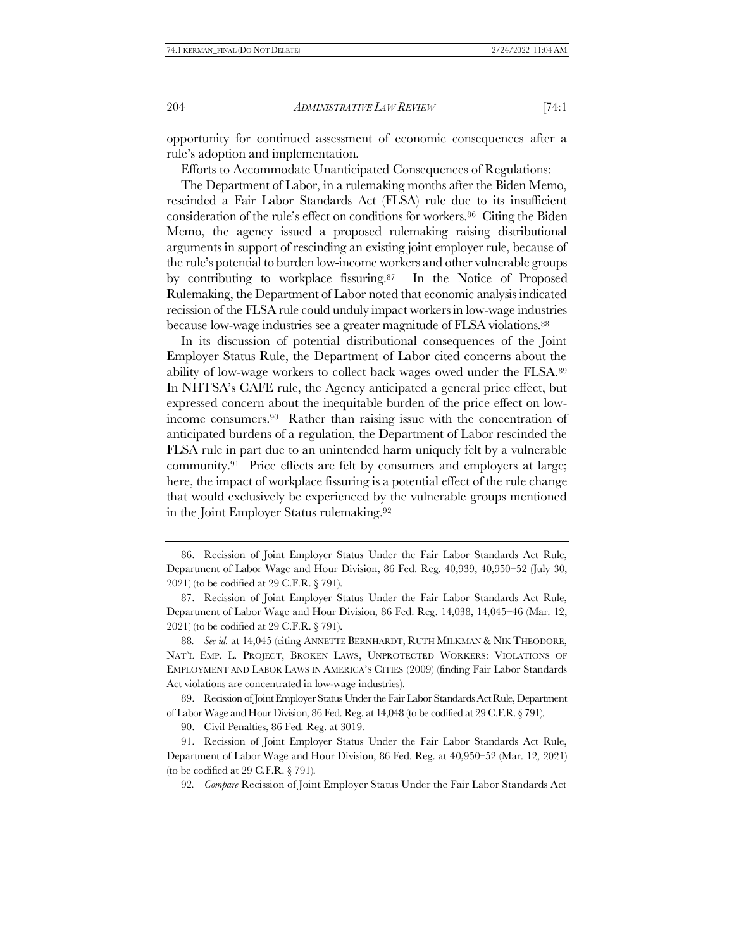opportunity for continued assessment of economic consequences after a rule's adoption and implementation.

Efforts to Accommodate Unanticipated Consequences of Regulations:

The Department of Labor, in a rulemaking months after the Biden Memo, rescinded a Fair Labor Standards Act (FLSA) rule due to its insufficient consideration of the rule's effect on conditions for workers.86 Citing the Biden Memo, the agency issued a proposed rulemaking raising distributional arguments in support of rescinding an existing joint employer rule, because of the rule's potential to burden low-income workers and other vulnerable groups by contributing to workplace fissuring.87 In the Notice of Proposed Rulemaking, the Department of Labor noted that economic analysis indicated recission of the FLSA rule could unduly impact workers in low-wage industries because low-wage industries see a greater magnitude of FLSA violations.<sup>88</sup>

In its discussion of potential distributional consequences of the Joint Employer Status Rule, the Department of Labor cited concerns about the ability of low-wage workers to collect back wages owed under the FLSA.<sup>89</sup> In NHTSA's CAFE rule, the Agency anticipated a general price effect, but expressed concern about the inequitable burden of the price effect on lowincome consumers.90 Rather than raising issue with the concentration of anticipated burdens of a regulation, the Department of Labor rescinded the FLSA rule in part due to an unintended harm uniquely felt by a vulnerable community.91 Price effects are felt by consumers and employers at large; here, the impact of workplace fissuring is a potential effect of the rule change that would exclusively be experienced by the vulnerable groups mentioned in the Joint Employer Status rulemaking.<sup>92</sup>

<span id="page-13-0"></span><sup>86.</sup> Recission of Joint Employer Status Under the Fair Labor Standards Act Rule, Department of Labor Wage and Hour Division, 86 Fed. Reg. 40,939, 40,950–52 (July 30, 2021) (to be codified at 29 C.F.R. § 791).

<sup>87.</sup> Recission of Joint Employer Status Under the Fair Labor Standards Act Rule, Department of Labor Wage and Hour Division, 86 Fed. Reg. 14,038, 14,045–46 (Mar. 12, 2021) (to be codified at 29 C.F.R. § 791).

<sup>88</sup>*. See id.* at 14,045 (citing ANNETTE BERNHARDT, RUTH MILKMAN & NIK THEODORE, NAT'L EMP. L. PROJECT, BROKEN LAWS, UNPROTECTED WORKERS: VIOLATIONS OF EMPLOYMENT AND LABOR LAWS IN AMERICA'S CITIES (2009) (finding Fair Labor Standards Act violations are concentrated in low-wage industries).

<sup>89.</sup> Recission of Joint Employer Status Under the Fair Labor Standards Act Rule, Department of Labor Wage and Hour Division, 86 Fed. Reg. at 14,048 (to be codified at 29 C.F.R. § 791).

<sup>90.</sup> Civil Penalties, 86 Fed. Reg. at 3019.

<sup>91.</sup> Recission of Joint Employer Status Under the Fair Labor Standards Act Rule, Department of Labor Wage and Hour Division, 86 Fed. Reg. at 40,950–52 (Mar. 12, 2021) (to be codified at 29 C.F.R.  $\S$  791).

<sup>92</sup>*. Compare* Recission of Joint Employer Status Under the Fair Labor Standards Act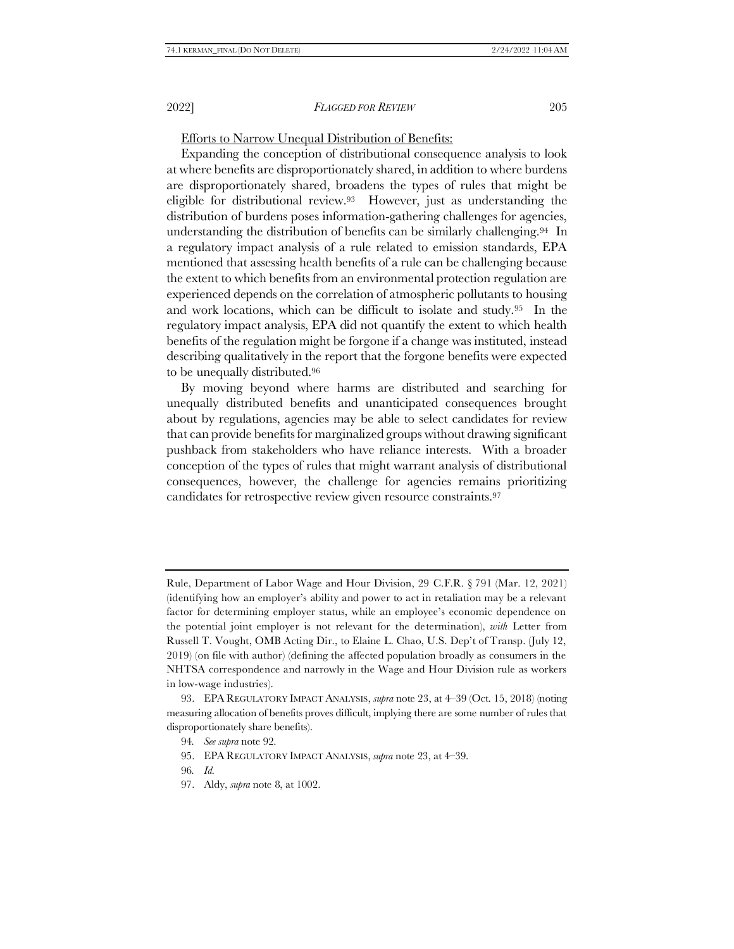# Efforts to Narrow Unequal Distribution of Benefits:

Expanding the conception of distributional consequence analysis to look at where benefits are disproportionately shared, in addition to where burdens are disproportionately shared, broadens the types of rules that might be eligible for distributional review.93 However, just as understanding the distribution of burdens poses information-gathering challenges for agencies, understanding the distribution of benefits can be similarly challenging.94 In a regulatory impact analysis of a rule related to emission standards, EPA mentioned that assessing health benefits of a rule can be challenging because the extent to which benefits from an environmental protection regulation are experienced depends on the correlation of atmospheric pollutants to housing and work locations, which can be difficult to isolate and study.95 In the regulatory impact analysis, EPA did not quantify the extent to which health benefits of the regulation might be forgone if a change was instituted, instead describing qualitatively in the report that the forgone benefits were expected to be unequally distributed.<sup>96</sup>

<span id="page-14-0"></span>By moving beyond where harms are distributed and searching for unequally distributed benefits and unanticipated consequences brought about by regulations, agencies may be able to select candidates for review that can provide benefits for marginalized groups without drawing significant pushback from stakeholders who have reliance interests. With a broader conception of the types of rules that might warrant analysis of distributional consequences, however, the challenge for agencies remains prioritizing candidates for retrospective review given resource constraints.<sup>97</sup>

Rule, Department of Labor Wage and Hour Division, 29 C.F.R. § 791 (Mar. 12, 2021) (identifying how an employer's ability and power to act in retaliation may be a relevant factor for determining employer status, while an employee's economic dependence on the potential joint employer is not relevant for the determination), *with* Letter from Russell T. Vought, OMB Acting Dir., to Elaine L. Chao, U.S. Dep't of Transp. (July 12, 2019) (on file with author) (defining the affected population broadly as consumers in the NHTSA correspondence and narrowly in the Wage and Hour Division rule as workers in low-wage industries).

<sup>93.</sup> EPA REGULATORY IMPACT ANALYSIS, *supra* not[e 23,](#page-4-0) at 4–39 (Oct. 15, 2018) (noting measuring allocation of benefits proves difficult, implying there are some number of rules that disproportionately share benefits).

<sup>94</sup>*. See supra* not[e 92.](#page-13-0)

<sup>95.</sup> EPA REGULATORY IMPACT ANALYSIS, *supra* note [23,](#page-4-0) at 4–39.

<sup>96</sup>*. Id.*

<sup>97.</sup> Aldy, *supra* note [8,](#page-2-2) at 1002.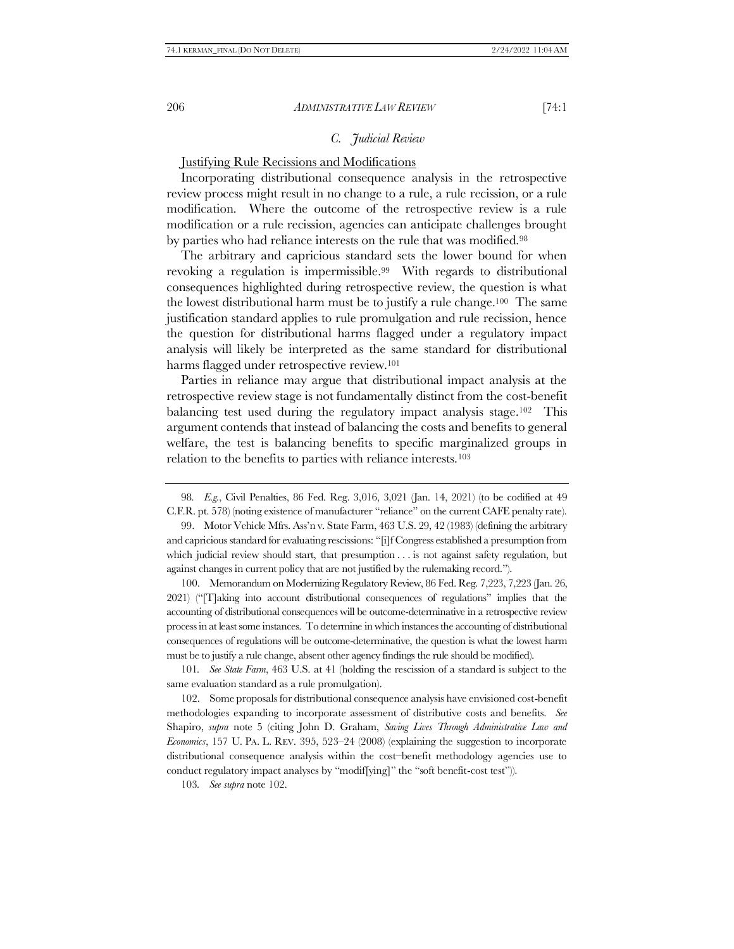# <span id="page-15-0"></span>*C. Judicial Review*

## Justifying Rule Recissions and Modifications

Incorporating distributional consequence analysis in the retrospective review process might result in no change to a rule, a rule recission, or a rule modification. Where the outcome of the retrospective review is a rule modification or a rule recission, agencies can anticipate challenges brought by parties who had reliance interests on the rule that was modified.<sup>98</sup>

The arbitrary and capricious standard sets the lower bound for when revoking a regulation is impermissible.99 With regards to distributional consequences highlighted during retrospective review, the question is what the lowest distributional harm must be to justify a rule change.100 The same justification standard applies to rule promulgation and rule recission, hence the question for distributional harms flagged under a regulatory impact analysis will likely be interpreted as the same standard for distributional harms flagged under retrospective review.<sup>101</sup>

Parties in reliance may argue that distributional impact analysis at the retrospective review stage is not fundamentally distinct from the cost-benefit balancing test used during the regulatory impact analysis stage.102 This argument contends that instead of balancing the costs and benefits to general welfare, the test is balancing benefits to specific marginalized groups in relation to the benefits to parties with reliance interests.<sup>103</sup>

99. Motor Vehicle Mfrs. Ass'n v. State Farm, 463 U.S. 29, 42 (1983) (defining the arbitrary and capricious standard for evaluating rescissions: "[i]f Congress established a presumption from which judicial review should start, that presumption . . . is not against safety regulation, but against changes in current policy that are not justified by the rulemaking record.").

100. Memorandum on Modernizing Regulatory Review, 86 Fed. Reg. 7,223, 7,223 (Jan. 26, 2021) ("[T]aking into account distributional consequences of regulations" implies that the accounting of distributional consequences will be outcome-determinative in a retrospective review process in at least some instances. To determine in which instances the accounting of distributional consequences of regulations will be outcome-determinative, the question is what the lowest harm must be to justify a rule change, absent other agency findings the rule should be modified).

101*. See State Farm*, 463 U.S. at 41 (holding the rescission of a standard is subject to the same evaluation standard as a rule promulgation).

102. Some proposals for distributional consequence analysis have envisioned cost-benefit methodologies expanding to incorporate assessment of distributive costs and benefits. *See*  Shapiro, *supra* note [5](#page-1-1) (citing John D. Graham, *Saving Lives Through Administrative Law and Economics*, 157 U. PA. L. REV. 395, 523–24 (2008) (explaining the suggestion to incorporate distributional consequence analysis within the cost–benefit methodology agencies use to conduct regulatory impact analyses by "modif[ying]" the "soft benefit-cost test")).

103*. See supra* not[e 102.](#page-15-0)

<sup>98</sup>*. E.g.*, Civil Penalties, 86 Fed. Reg. 3,016, 3,021 (Jan. 14, 2021) (to be codified at 49 C.F.R. pt. 578) (noting existence of manufacturer "reliance" on the current CAFE penalty rate).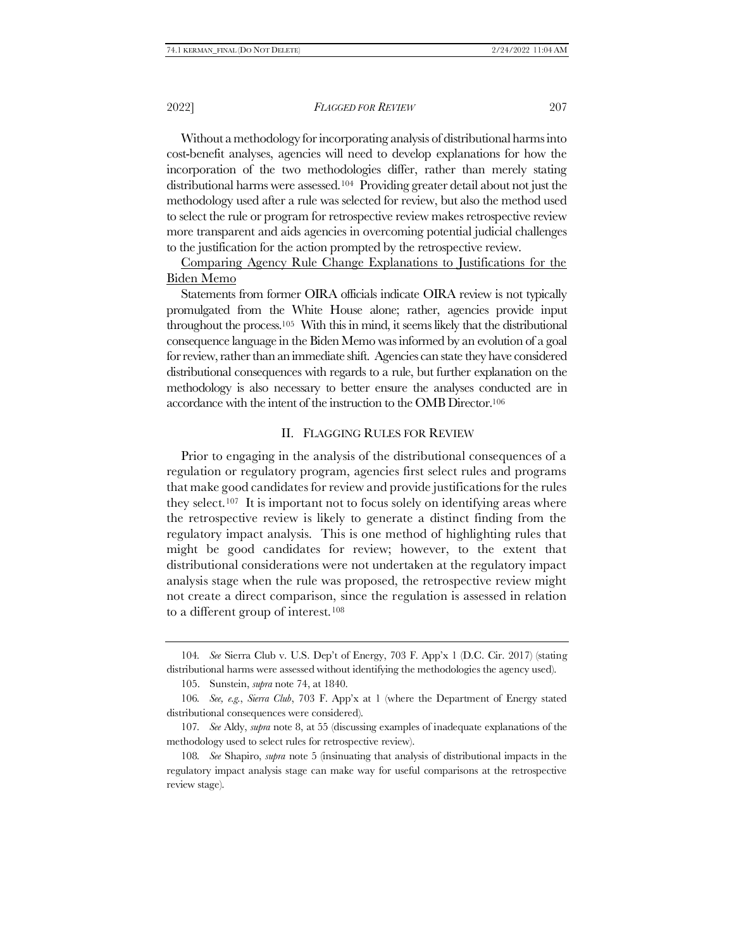Without a methodology for incorporating analysis of distributional harms into cost-benefit analyses, agencies will need to develop explanations for how the incorporation of the two methodologies differ, rather than merely stating distributional harms were assessed.104 Providing greater detail about not just the methodology used after a rule was selected for review, but also the method used to select the rule or program for retrospective review makes retrospective review more transparent and aids agencies in overcoming potential judicial challenges to the justification for the action prompted by the retrospective review.

Comparing Agency Rule Change Explanations to Justifications for the Biden Memo

Statements from former OIRA officials indicate OIRA review is not typically promulgated from the White House alone; rather, agencies provide input throughout the process.105 With this in mind, it seems likely that the distributional consequence language in the Biden Memo was informed by an evolution of a goal for review, rather than an immediate shift. Agencies can state they have considered distributional consequences with regards to a rule, but further explanation on the methodology is also necessary to better ensure the analyses conducted are in accordance with the intent of the instruction to the OMB Director.<sup>106</sup>

# II. FLAGGING RULES FOR REVIEW

Prior to engaging in the analysis of the distributional consequences of a regulation or regulatory program, agencies first select rules and programs that make good candidates for review and provide justifications for the rules they select.107 It is important not to focus solely on identifying areas where the retrospective review is likely to generate a distinct finding from the regulatory impact analysis. This is one method of highlighting rules that might be good candidates for review; however, to the extent that distributional considerations were not undertaken at the regulatory impact analysis stage when the rule was proposed, the retrospective review might not create a direct comparison, since the regulation is assessed in relation to a different group of interest.<sup>108</sup>

<sup>104</sup>*. See* Sierra Club v. U.S. Dep't of Energy, 703 F. App'x 1 (D.C. Cir. 2017) (stating distributional harms were assessed without identifying the methodologies the agency used).

<sup>105.</sup> Sunstein, *supra* not[e 74,](#page-11-1) at 1840.

<sup>106</sup>*. See, e.g.*, *Sierra Club*, 703 F. App'x at 1 (where the Department of Energy stated distributional consequences were considered).

<sup>107</sup>*. See* Aldy, *supra* note [8,](#page-2-2) at 55 (discussing examples of inadequate explanations of the methodology used to select rules for retrospective review).

<sup>108</sup>*. See* Shapiro, *supra* not[e 5](#page-1-1) (insinuating that analysis of distributional impacts in the regulatory impact analysis stage can make way for useful comparisons at the retrospective review stage).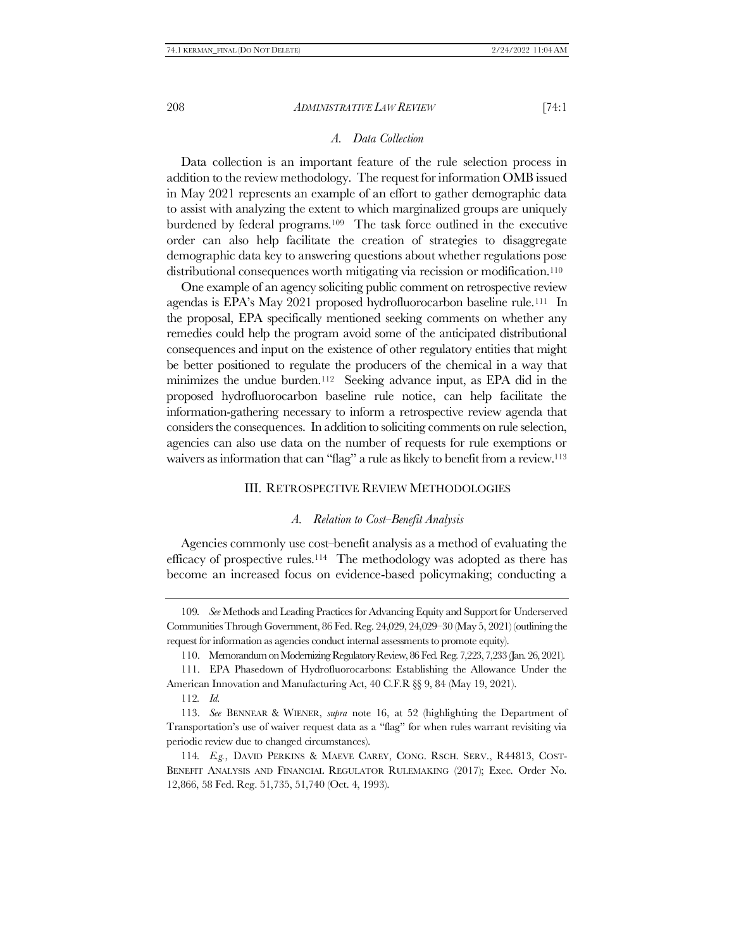## *A. Data Collection*

<span id="page-17-1"></span>Data collection is an important feature of the rule selection process in addition to the review methodology. The request for information OMB issued in May 2021 represents an example of an effort to gather demographic data to assist with analyzing the extent to which marginalized groups are uniquely burdened by federal programs.109 The task force outlined in the executive order can also help facilitate the creation of strategies to disaggregate demographic data key to answering questions about whether regulations pose distributional consequences worth mitigating via recission or modification.<sup>110</sup>

One example of an agency soliciting public comment on retrospective review agendas is EPA's May 2021 proposed hydrofluorocarbon baseline rule.111 In the proposal, EPA specifically mentioned seeking comments on whether any remedies could help the program avoid some of the anticipated distributional consequences and input on the existence of other regulatory entities that might be better positioned to regulate the producers of the chemical in a way that minimizes the undue burden.112 Seeking advance input, as EPA did in the proposed hydrofluorocarbon baseline rule notice, can help facilitate the information-gathering necessary to inform a retrospective review agenda that considers the consequences. In addition to soliciting comments on rule selection, agencies can also use data on the number of requests for rule exemptions or waivers as information that can "flag" a rule as likely to benefit from a review.<sup>113</sup>

#### III. RETROSPECTIVE REVIEW METHODOLOGIES

#### <span id="page-17-0"></span>*A. Relation to Cost–Benefit Analysis*

Agencies commonly use cost–benefit analysis as a method of evaluating the efficacy of prospective rules.114 The methodology was adopted as there has become an increased focus on evidence-based policymaking; conducting a

<sup>109</sup>*. See* Methods and Leading Practices for Advancing Equity and Support for Underserved Communities Through Government, 86 Fed. Reg. 24,029, 24,029–30 (May 5, 2021) (outlining the request for information as agencies conduct internal assessments to promote equity).

<sup>110.</sup> Memorandum on Modernizing Regulatory Review, 86 Fed. Reg. 7,223, 7,233 (Jan. 26, 2021).

<sup>111.</sup> EPA Phasedown of Hydrofluorocarbons: Establishing the Allowance Under the American Innovation and Manufacturing Act, 40 C.F.R §§ 9, 84 (May 19, 2021).

<sup>112</sup>*. Id.*

<sup>113.</sup> *See* BENNEAR & WIENER, *supra* note [16,](#page-3-0) at 52 (highlighting the Department of Transportation's use of waiver request data as a "flag" for when rules warrant revisiting via periodic review due to changed circumstances).

<sup>114</sup>*. E.g.*, DAVID PERKINS & MAEVE CAREY, CONG. RSCH. SERV., R44813, COST-BENEFIT ANALYSIS AND FINANCIAL REGULATOR RULEMAKING (2017); Exec. Order No. 12,866, 58 Fed. Reg. 51,735, 51,740 (Oct. 4, 1993).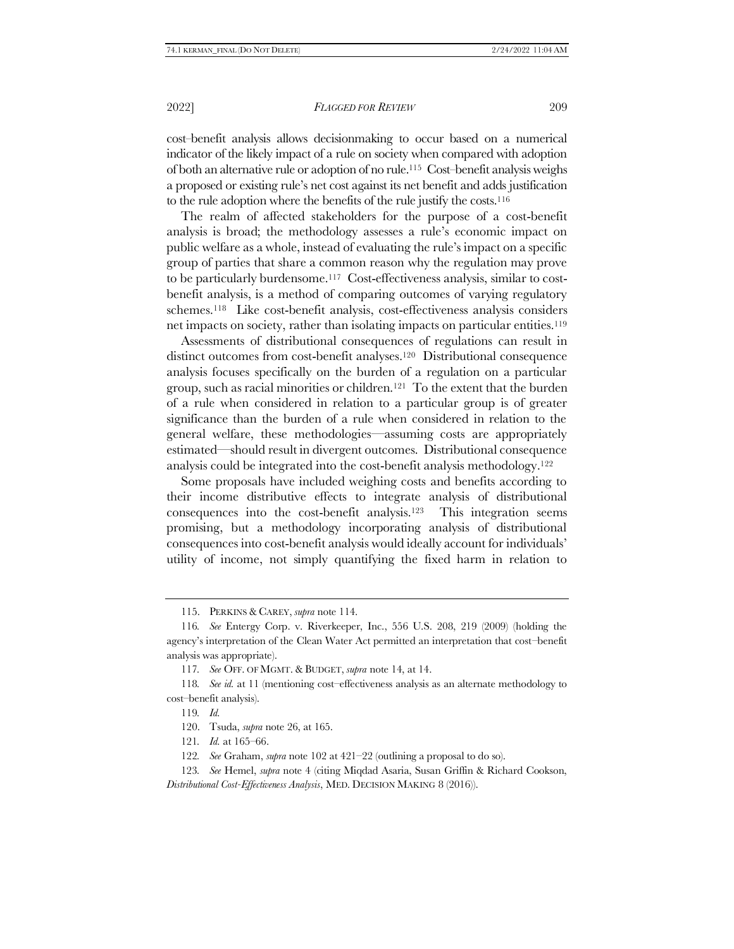cost–benefit analysis allows decisionmaking to occur based on a numerical indicator of the likely impact of a rule on society when compared with adoption of both an alternative rule or adoption of no rule.115 Cost–benefit analysis weighs a proposed or existing rule's net cost against its net benefit and adds justification to the rule adoption where the benefits of the rule justify the costs.<sup>116</sup>

The realm of affected stakeholders for the purpose of a cost-benefit analysis is broad; the methodology assesses a rule's economic impact on public welfare as a whole, instead of evaluating the rule's impact on a specific group of parties that share a common reason why the regulation may prove to be particularly burdensome.117 Cost-effectiveness analysis, similar to costbenefit analysis, is a method of comparing outcomes of varying regulatory schemes.118 Like cost-benefit analysis, cost-effectiveness analysis considers net impacts on society, rather than isolating impacts on particular entities.<sup>119</sup>

Assessments of distributional consequences of regulations can result in distinct outcomes from cost-benefit analyses.120 Distributional consequence analysis focuses specifically on the burden of a regulation on a particular group, such as racial minorities or children.121 To the extent that the burden of a rule when considered in relation to a particular group is of greater significance than the burden of a rule when considered in relation to the general welfare, these methodologies—assuming costs are appropriately estimated—should result in divergent outcomes. Distributional consequence analysis could be integrated into the cost-benefit analysis methodology.<sup>122</sup>

Some proposals have included weighing costs and benefits according to their income distributive effects to integrate analysis of distributional consequences into the cost-benefit analysis.123 This integration seems promising, but a methodology incorporating analysis of distributional consequences into cost-benefit analysis would ideally account for individuals' utility of income, not simply quantifying the fixed harm in relation to

120. Tsuda, *supra* not[e 26,](#page-4-2) at 165.

121*. Id.* at 165–66.

<sup>115.</sup> PERKINS & CAREY, *supra* not[e 114.](#page-17-0)

<sup>116</sup>*. See* Entergy Corp. v. Riverkeeper, Inc., 556 U.S. 208, 219 (2009) (holding the agency's interpretation of the Clean Water Act permitted an interpretation that cost–benefit analysis was appropriate).

<sup>117</sup>*. See* OFF. OF MGMT. & BUDGET, *supra* not[e 14,](#page-2-1) at 14.

<sup>118</sup>*. See id.* at 11 (mentioning cost–effectiveness analysis as an alternate methodology to cost–benefit analysis).

<sup>119</sup>*. Id.*

<sup>122</sup>*. See* Graham, *supra* note [102](#page-15-0) at 421–22 (outlining a proposal to do so).

<sup>123</sup>*. See* Hemel, *supra* not[e 4](#page-1-2) (citing Miqdad Asaria, Susan Griffin & Richard Cookson, *Distributional Cost-Effectiveness Analysis*, MED. D[ECISION](https://www.ncbi.nlm.nih.gov/pmc/articles/PMC4853814/) MAKING 8 (2016)).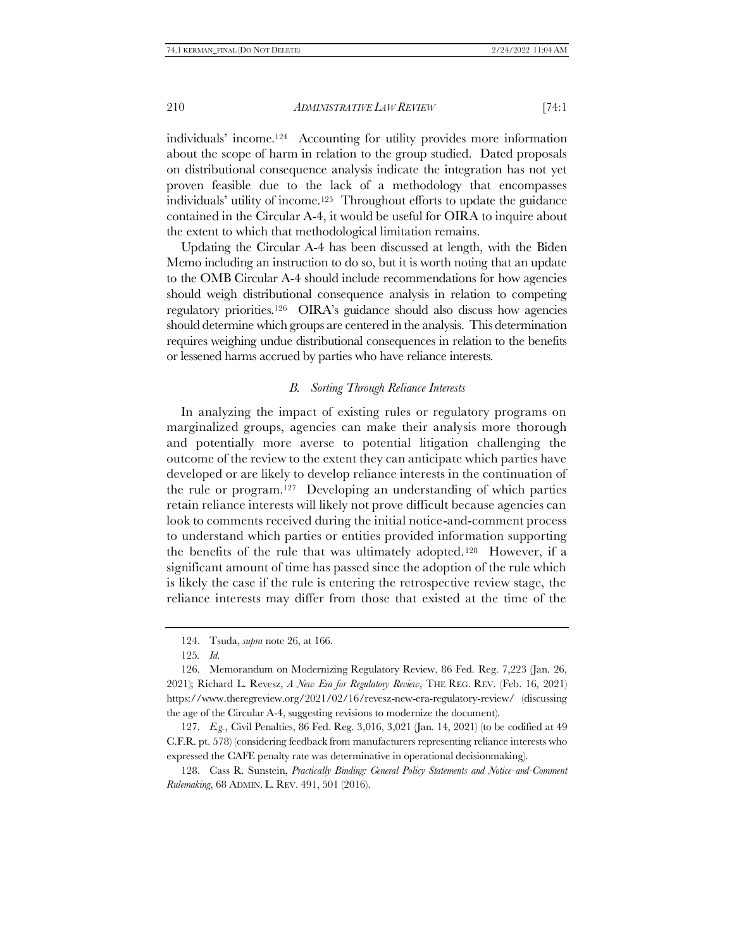individuals' income.124 Accounting for utility provides more information about the scope of harm in relation to the group studied. Dated proposals on distributional consequence analysis indicate the integration has not yet proven feasible due to the lack of a methodology that encompasses individuals' utility of income.125 Throughout efforts to update the guidance contained in the Circular A-4, it would be useful for OIRA to inquire about the extent to which that methodological limitation remains.

Updating the Circular A-4 has been discussed at length, with the Biden Memo including an instruction to do so, but it is worth noting that an update to the OMB Circular A-4 should include recommendations for how agencies should weigh distributional consequence analysis in relation to competing regulatory priorities.<sup>126</sup> OIRA's guidance should also discuss how agencies should determine which groups are centered in the analysis. This determination requires weighing undue distributional consequences in relation to the benefits or lessened harms accrued by parties who have reliance interests.

#### *B. Sorting Through Reliance Interests*

In analyzing the impact of existing rules or regulatory programs on marginalized groups, agencies can make their analysis more thorough and potentially more averse to potential litigation challenging the outcome of the review to the extent they can anticipate which parties have developed or are likely to develop reliance interests in the continuation of the rule or program.127 Developing an understanding of which parties retain reliance interests will likely not prove difficult because agencies can look to comments received during the initial notice-and-comment process to understand which parties or entities provided information supporting the benefits of the rule that was ultimately adopted.128 However, if a significant amount of time has passed since the adoption of the rule which is likely the case if the rule is entering the retrospective review stage, the reliance interests may differ from those that existed at the time of the

127. *E.g.*, Civil Penalties, 86 Fed. Reg. 3,016, 3,021 (Jan. 14, 2021) (to be codified at 49 C.F.R. pt. 578) (considering feedback from manufacturers representing reliance interests who expressed the CAFE penalty rate was determinative in operational decisionmaking).

128. Cass R. Sunstein, *Practically Binding: General Policy Statements and Notice-and-Comment Rulemaking*, 68 ADMIN. L. REV. 491, 501 (2016).

<sup>124.</sup> Tsuda, *supra* not[e 26,](#page-4-2) at 166.

<sup>125</sup>*. Id.*

<sup>126.</sup> Memorandum on Modernizing Regulatory Review, 86 Fed. Reg. 7,223 (Jan. 26, 2021); Richard L. Revesz, *A New Era for Regulatory Review*, THE REG. REV. (Feb. 16, 2021) https://www.theregreview.org/2021/02/16/revesz-new-era-regulatory-review/ (discussing the age of the Circular A-4, suggesting revisions to modernize the document).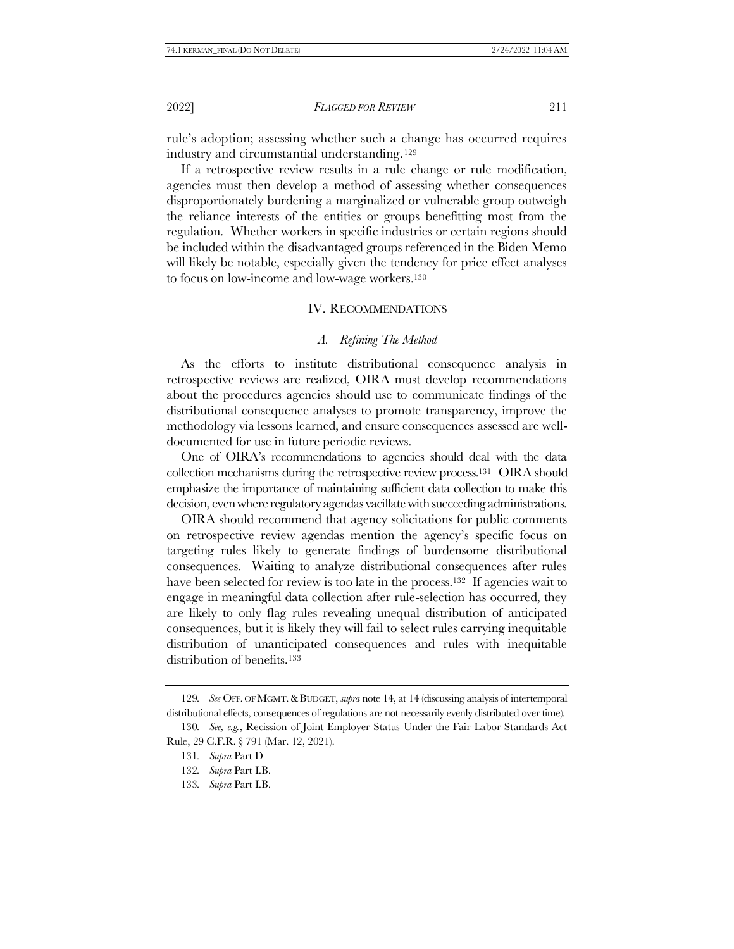rule's adoption; assessing whether such a change has occurred requires industry and circumstantial understanding.<sup>129</sup>

If a retrospective review results in a rule change or rule modification, agencies must then develop a method of assessing whether consequences disproportionately burdening a marginalized or vulnerable group outweigh the reliance interests of the entities or groups benefitting most from the regulation. Whether workers in specific industries or certain regions should be included within the disadvantaged groups referenced in the Biden Memo will likely be notable, especially given the tendency for price effect analyses to focus on low-income and low-wage workers.<sup>130</sup>

#### IV. RECOMMENDATIONS

#### *A. Refining The Method*

As the efforts to institute distributional consequence analysis in retrospective reviews are realized, OIRA must develop recommendations about the procedures agencies should use to communicate findings of the distributional consequence analyses to promote transparency, improve the methodology via lessons learned, and ensure consequences assessed are welldocumented for use in future periodic reviews.

One of OIRA's recommendations to agencies should deal with the data collection mechanisms during the retrospective review process.131 OIRA should emphasize the importance of maintaining sufficient data collection to make this decision, even where regulatory agendas vacillate with succeeding administrations.

OIRA should recommend that agency solicitations for public comments on retrospective review agendas mention the agency's specific focus on targeting rules likely to generate findings of burdensome distributional consequences. Waiting to analyze distributional consequences after rules have been selected for review is too late in the process.<sup>132</sup> If agencies wait to engage in meaningful data collection after rule-selection has occurred, they are likely to only flag rules revealing unequal distribution of anticipated consequences, but it is likely they will fail to select rules carrying inequitable distribution of unanticipated consequences and rules with inequitable distribution of benefits.<sup>133</sup>

<sup>129</sup>*. See* OFF. OF MGMT.&BUDGET, *supra* not[e 14,](#page-2-1) at 14 (discussing analysis of intertemporal distributional effects, consequences of regulations are not necessarily evenly distributed over time).

<sup>130</sup>*. See, e.g.*, Recission of Joint Employer Status Under the Fair Labor Standards Act Rule, 29 C.F.R. § 791 (Mar. 12, 2021).

<sup>131</sup>*. Supra* Par[t D](#page-17-1)

<sup>132</sup>*. Supra* Part [I.B.](#page-11-0)

<sup>133</sup>*. Supra* Part [I.B.](#page-11-0)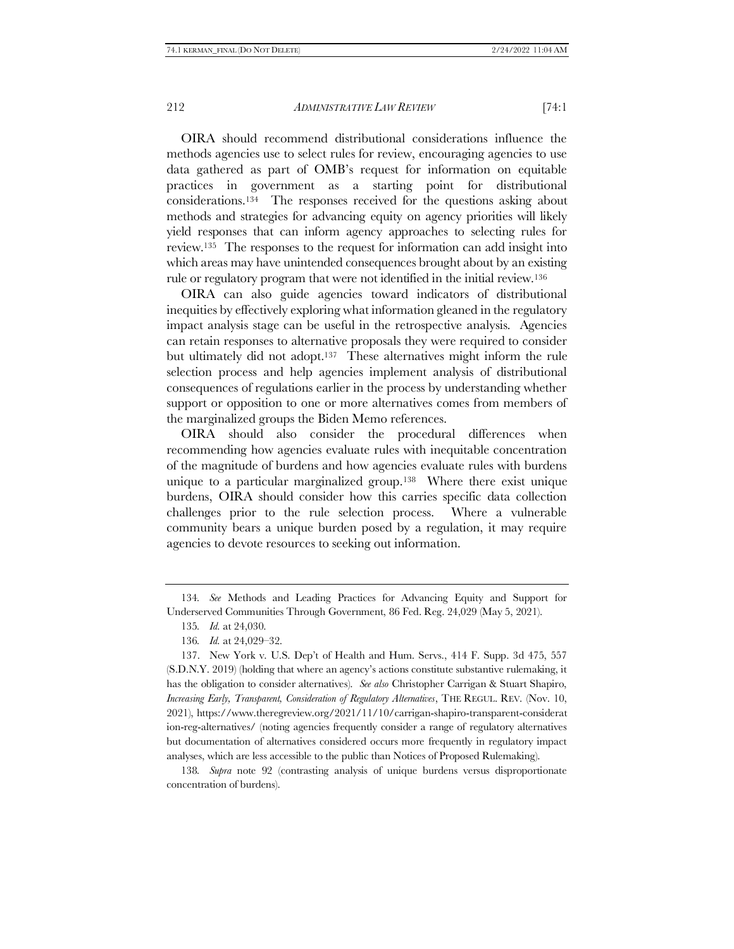OIRA should recommend distributional considerations influence the methods agencies use to select rules for review, encouraging agencies to use data gathered as part of OMB's request for information on equitable practices in government as a starting point for distributional considerations.134 The responses received for the questions asking about methods and strategies for advancing equity on agency priorities will likely yield responses that can inform agency approaches to selecting rules for review.135 The responses to the request for information can add insight into which areas may have unintended consequences brought about by an existing rule or regulatory program that were not identified in the initial review.<sup>136</sup>

OIRA can also guide agencies toward indicators of distributional inequities by effectively exploring what information gleaned in the regulatory impact analysis stage can be useful in the retrospective analysis. Agencies can retain responses to alternative proposals they were required to consider but ultimately did not adopt.<sup>137</sup> These alternatives might inform the rule selection process and help agencies implement analysis of distributional consequences of regulations earlier in the process by understanding whether support or opposition to one or more alternatives comes from members of the marginalized groups the Biden Memo references.

OIRA should also consider the procedural differences when recommending how agencies evaluate rules with inequitable concentration of the magnitude of burdens and how agencies evaluate rules with burdens unique to a particular marginalized group.138 Where there exist unique burdens, OIRA should consider how this carries specific data collection challenges prior to the rule selection process. Where a vulnerable community bears a unique burden posed by a regulation, it may require agencies to devote resources to seeking out information.

138*. Supra* note [92](#page-13-0) (contrasting analysis of unique burdens versus disproportionate concentration of burdens).

<sup>134</sup>*. See* Methods and Leading Practices for Advancing Equity and Support for Underserved Communities Through Government, 86 Fed. Reg. 24,029 (May 5, 2021).

<sup>135</sup>*. Id.* at 24,030.

<sup>136</sup>*. Id.* at 24,029–32.

<sup>137.</sup> New York v. U.S. Dep't of Health and Hum. Servs., 414 F. Supp. 3d 475, 557 (S.D.N.Y. 2019) (holding that where an agency's actions constitute substantive rulemaking, it has the obligation to consider alternatives). *See also* Christopher Carrigan & Stuart Shapiro, *Increasing Early, Transparent, Consideration of Regulatory Alternatives*, THE REGUL. REV. (Nov. 10, 2021), https://www.theregreview.org/2021/11/10/carrigan-shapiro-transparent-considerat ion-reg-alternatives/ (noting agencies frequently consider a range of regulatory alternatives but documentation of alternatives considered occurs more frequently in regulatory impact analyses, which are less accessible to the public than Notices of Proposed Rulemaking).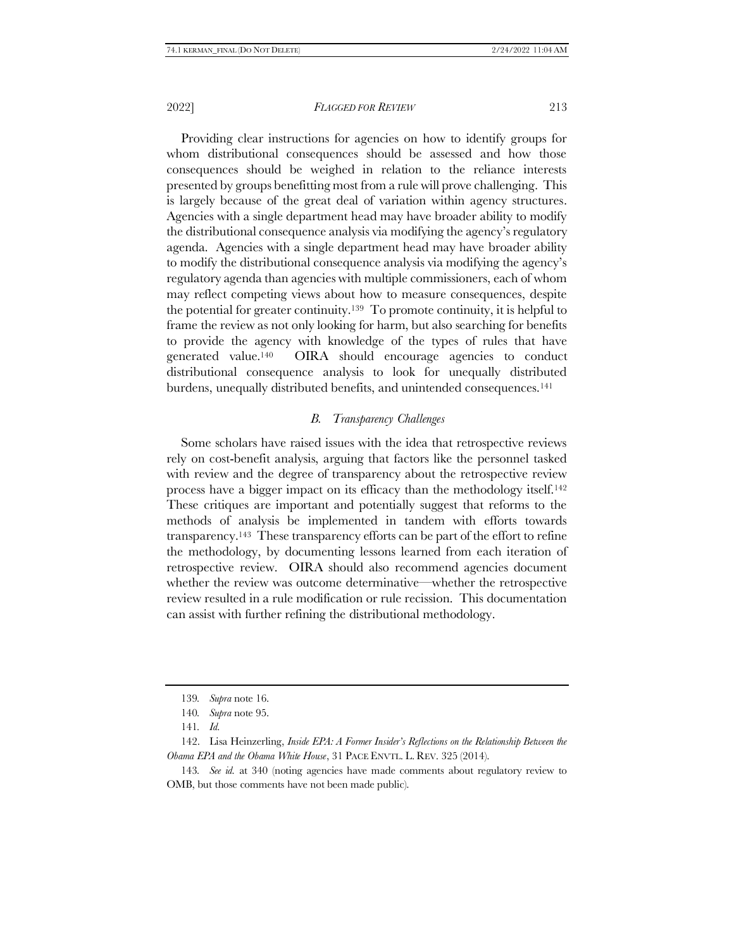Providing clear instructions for agencies on how to identify groups for whom distributional consequences should be assessed and how those consequences should be weighed in relation to the reliance interests presented by groups benefitting most from a rule will prove challenging. This is largely because of the great deal of variation within agency structures. Agencies with a single department head may have broader ability to modify the distributional consequence analysis via modifying the agency's regulatory agenda. Agencies with a single department head may have broader ability to modify the distributional consequence analysis via modifying the agency's regulatory agenda than agencies with multiple commissioners, each of whom may reflect competing views about how to measure consequences, despite the potential for greater continuity.139 To promote continuity, it is helpful to frame the review as not only looking for harm, but also searching for benefits to provide the agency with knowledge of the types of rules that have generated value.140 OIRA should encourage agencies to conduct distributional consequence analysis to look for unequally distributed burdens, unequally distributed benefits, and unintended consequences.<sup>141</sup>

# *B. Transparency Challenges*

Some scholars have raised issues with the idea that retrospective reviews rely on cost-benefit analysis, arguing that factors like the personnel tasked with review and the degree of transparency about the retrospective review process have a bigger impact on its efficacy than the methodology itself.<sup>142</sup> These critiques are important and potentially suggest that reforms to the methods of analysis be implemented in tandem with efforts towards transparency.143 These transparency efforts can be part of the effort to refine the methodology, by documenting lessons learned from each iteration of retrospective review. OIRA should also recommend agencies document whether the review was outcome determinative—whether the retrospective review resulted in a rule modification or rule recission. This documentation can assist with further refining the distributional methodology.

<sup>139</sup>*. Supra* not[e 16.](#page-3-0)

<sup>140</sup>*. Supra* not[e 95.](#page-14-0)

<sup>141</sup>*. Id.*

<sup>142.</sup> Lisa Heinzerling, *Inside EPA: A Former Insider's Reflections on the Relationship Between the Obama EPA and the Obama White House*, 31 PACE ENVTL. L. REV. 325 (2014).

<sup>143</sup>*. See id.* at 340 (noting agencies have made comments about regulatory review to OMB, but those comments have not been made public).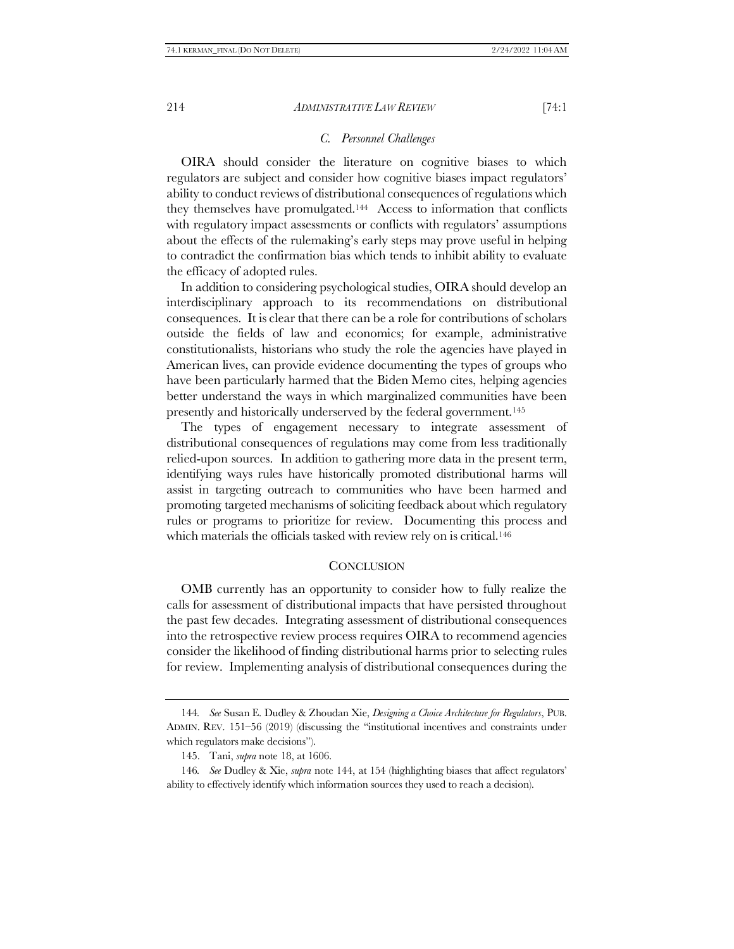#### <span id="page-23-0"></span>*C. Personnel Challenges*

OIRA should consider the literature on cognitive biases to which regulators are subject and consider how cognitive biases impact regulators' ability to conduct reviews of distributional consequences of regulations which they themselves have promulgated.144 Access to information that conflicts with regulatory impact assessments or conflicts with regulators' assumptions about the effects of the rulemaking's early steps may prove useful in helping to contradict the confirmation bias which tends to inhibit ability to evaluate the efficacy of adopted rules.

In addition to considering psychological studies, OIRA should develop an interdisciplinary approach to its recommendations on distributional consequences. It is clear that there can be a role for contributions of scholars outside the fields of law and economics; for example, administrative constitutionalists, historians who study the role the agencies have played in American lives, can provide evidence documenting the types of groups who have been particularly harmed that the Biden Memo cites, helping agencies better understand the ways in which marginalized communities have been presently and historically underserved by the federal government.<sup>145</sup>

The types of engagement necessary to integrate assessment of distributional consequences of regulations may come from less traditionally relied-upon sources. In addition to gathering more data in the present term, identifying ways rules have historically promoted distributional harms will assist in targeting outreach to communities who have been harmed and promoting targeted mechanisms of soliciting feedback about which regulatory rules or programs to prioritize for review. Documenting this process and which materials the officials tasked with review rely on is critical.<sup>146</sup>

#### **CONCLUSION**

OMB currently has an opportunity to consider how to fully realize the calls for assessment of distributional impacts that have persisted throughout the past few decades. Integrating assessment of distributional consequences into the retrospective review process requires OIRA to recommend agencies consider the likelihood of finding distributional harms prior to selecting rules for review. Implementing analysis of distributional consequences during the

<sup>144</sup>*. See* Susan E. Dudley & Zhoudan Xie, *Designing a Choice Architecture for Regulators*, PUB. ADMIN. REV. 151–56 (2019) (discussing the "institutional incentives and constraints under which regulators make decisions").

<sup>145.</sup> Tani, *supra* note [18,](#page-3-1) at 1606.

<sup>146</sup>*. See* Dudley & Xie, *supra* not[e 144,](#page-23-0) at 154 (highlighting biases that affect regulators' ability to effectively identify which information sources they used to reach a decision).